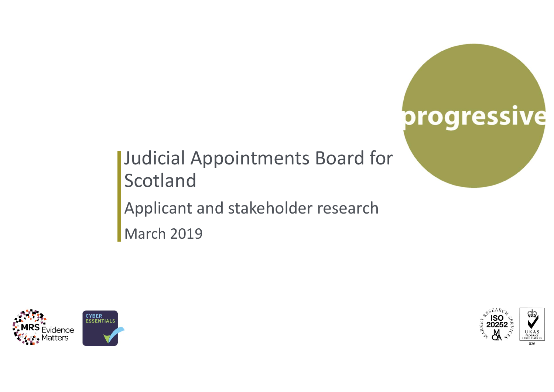# progressive

Judicial Appointments Board for Scotland Applicant and stakeholder research March 2019





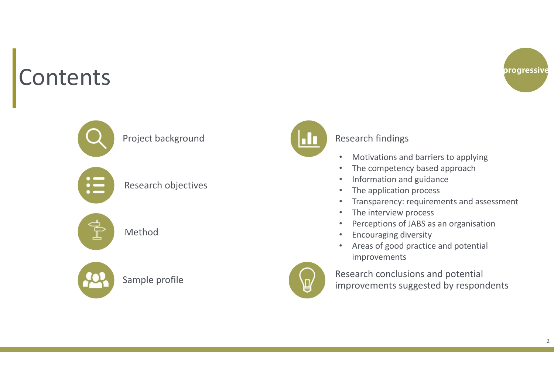### Contents







Research objectives

Method



Sample profile



#### Research findings

- •Motivations and barriers to applying
- •The competency based approach
- •Information and guidance
- •The application process
- •Transparency: requirements and assessment
- •The interview process
- $\bullet$ Perceptions of JABS as an organisation
- •Encouraging diversity
- $\bullet$  Areas of good practice and potential improvements



Research conclusions and potential improvements suggested by respondents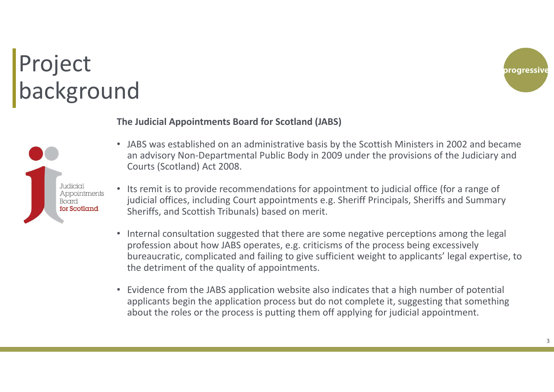# Project background



#### **The Judicial Appointments Board for Scotland (JABS)**



- JABS was established on an administrative basis by the Scottish Ministers in 2002 and became an advisory Non‐Departmental Public Body in 2009 under the provisions of the Judiciary and Courts (Scotland) Act 2008.
- Its remit is to provide recommendations for appointment to judicial office (for a range of judicial offices, including Court appointments e.g. Sheriff Principals, Sheriffs and Summary Sheriffs, and Scottish Tribunals) based on merit.
- Internal consultation suggested that there are some negative perceptions among the legal profession about how JABS operates, e.g. criticisms of the process being excessively bureaucratic, complicated and failing to give sufficient weight to applicants' legal expertise, to the detriment of the quality of appointments.
- Evidence from the JABS application website also indicates that a high number of potential applicants begin the application process but do not complete it, suggesting that something about the roles or the process is putting them off applying for judicial appointment.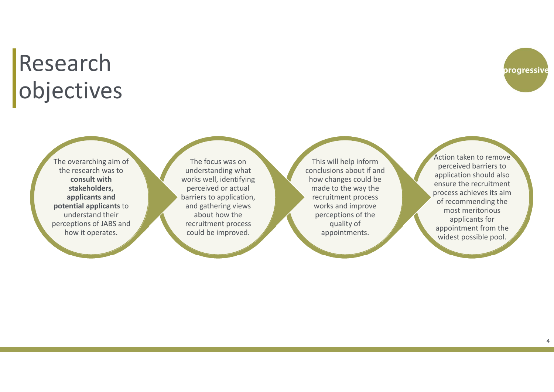### Research objectives

The overarching aim of the research was to **consult with stakeholders, applicants and potential applicants** to understand their perceptions of JABS and how it operates.

The focus was on understanding what works well, identifying perceived or actual barriers to application, and gathering views about how the recruitment process could be improved.

This will help inform conclusions about if and how changes could be made to the way the recruitment process works and improve perceptions of the quality of appointments.

Action taken to remove perceived barriers to application should also ensure the recruitment process achieves its aim of recommending the most meritorious applicants for appointment from the widest possible pool.

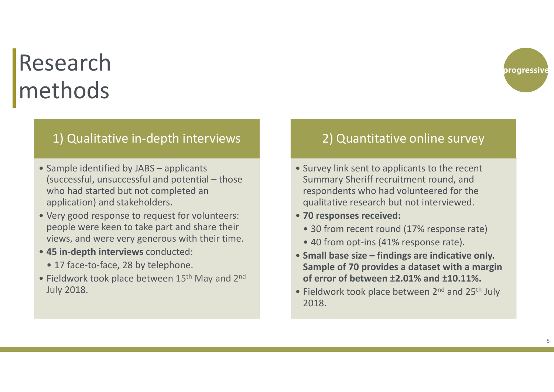## Research methods

### 1) Qualitative in‐depth interviews

- Sample identified by JABS applicants (successful, unsuccessful and potential – those who had started but not completed an application) and stakeholders.
- Very good response to request for volunteers: people were keen to take part and share their views, and were very generous with their time.
- **45 in-depth interviews** conducted:
	- 17 face-to-face, 28 by telephone.
- Fieldwork took place between 15<sup>th</sup> May and 2<sup>nd</sup> July 2018.

### 2) Quantitative online survey

- Survey link sent to applicants to the recent Summary Sheriff recruitment round, and respondents who had volunteered for the qualitative research but not interviewed.
- **70 responses received:**
	- 30 from recent round (17% response rate)
	- 40 from opt-ins (41% response rate).
- **Small base size – findings are indicative only. Sample of 70 provides a dataset with a margin of error of between ±2.01% and ±10.11%.**
- Fieldwork took place between 2<sup>nd</sup> and 25<sup>th</sup> July 2018.

progressive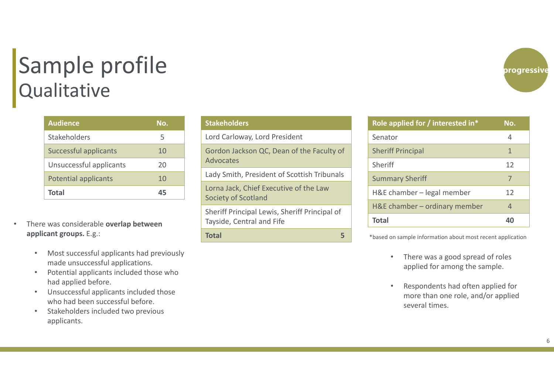### Sample profile **Qualitative**

| <b>Audience</b>             | No. |
|-----------------------------|-----|
| <b>Stakeholders</b>         | 5   |
| Successful applicants       | 10  |
| Unsuccessful applicants     | 20  |
| <b>Potential applicants</b> | 10  |
| Total                       |     |

- • There was considerable **overlap between applicant groups.** E.g.:
	- • Most successful applicants had previously made unsuccessful applications.
	- • Potential applicants included those who had applied before.
	- • Unsuccessful applicants included those who had been successful before.
	- • Stakeholders included two previous applicants.

| <b>Stakeholders</b>                                                        |
|----------------------------------------------------------------------------|
| Lord Carloway, Lord President                                              |
| Gordon Jackson QC, Dean of the Faculty of<br>Advocates                     |
| Lady Smith, President of Scottish Tribunals                                |
| Lorna Jack, Chief Executive of the Law<br>Society of Scotland              |
| Sheriff Principal Lewis, Sheriff Principal of<br>Tayside, Central and Fife |
| <b>Total</b><br>5                                                          |
|                                                                            |

| Role applied for / interested in* | No.          |
|-----------------------------------|--------------|
| Senator                           | 4            |
| <b>Sheriff Principal</b>          | $\mathbf{1}$ |
| Sheriff                           | 12           |
| <b>Summary Sheriff</b>            | 7            |
| H&E chamber – legal member        | 12           |
| H&E chamber - ordinary member     | 4            |
| <b>Total</b>                      | 40           |

\*based on sample information about most recent application

- $\bullet$  There was a good spread of roles applied for among the sample.
- • Respondents had often applied for more than one role, and/or applied several times.

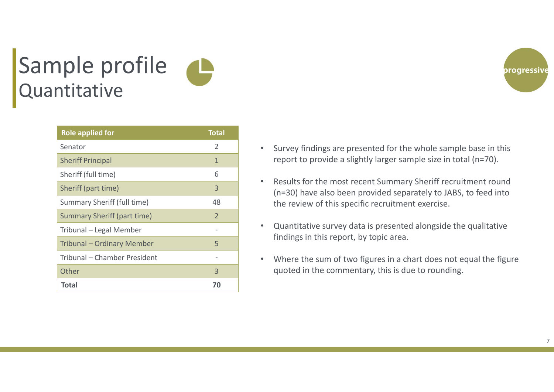### Sample profile Quantitative

| <b>Role applied for</b>            | <b>Total</b>   |
|------------------------------------|----------------|
| Senator                            | 2              |
| <b>Sheriff Principal</b>           | $\mathbf{1}$   |
| Sheriff (full time)                | 6              |
| Sheriff (part time)                | 3              |
| Summary Sheriff (full time)        | 48             |
| <b>Summary Sheriff (part time)</b> | $\overline{2}$ |
| Tribunal - Legal Member            |                |
| Tribunal - Ordinary Member         | 5              |
| Tribunal – Chamber President       |                |
| Other                              | 3              |
| <b>Total</b>                       | 70             |

- $\bullet$  Survey findings are presented for the whole sample base in this report to provide a slightly larger sample size in total (n=70).
- $\bullet$  Results for the most recent Summary Sheriff recruitment round (n=30) have also been provided separately to JABS, to feed into the review of this specific recruitment exercise.
- • Quantitative survey data is presented alongside the qualitative findings in this report, by topic area.
- $\bullet$  Where the sum of two figures in a chart does not equal the figure quoted in the commentary, this is due to rounding.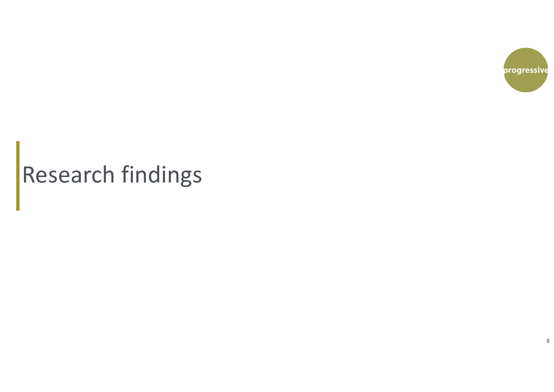

# Research findings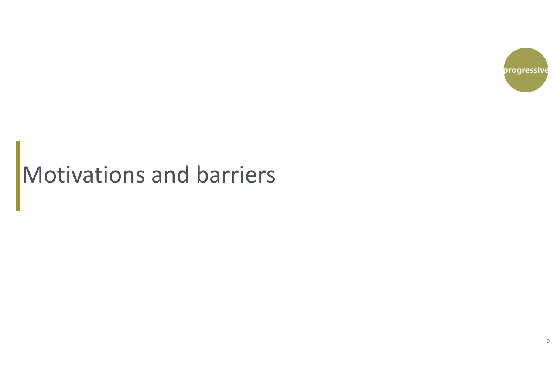

### Motivations and barriers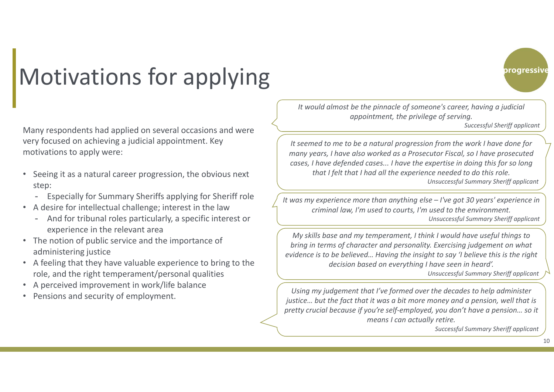## Motivations for applying

Many respondents had applied on several occasions and were very focused on achieving a judicial appointment. Key motivations to apply were:

- • Seeing it as a natural career progression, the obvious next step:
	- Especially for Summary Sheriffs applying for Sheriff role
- A desire for intellectual challenge; interest in the law
	- And for tribunal roles particularly, a specific interest or experience in the relevant area
- The notion of public service and the importance of administering justice
- A feeling that they have valuable experience to bring to the role, and the right temperament/personal qualities
- A perceived improvement in work/life balance
- Pensions and security of employment.

*It would almost be the pinnacle of someone's career, having a judicial appointment, the privilege of serving.*

*Successful Sheriff applicant*

progressive

*It seemed to me to be a natural progression from the work I have done for many years, I have also worked as a Prosecutor Fiscal, so I have prosecuted cases, I have defended cases... I have the expertise in doing this for so long that I felt that I had all the experience needed to do this role. Unsuccessful Summary Sheriff applicant*

*It was my experience more than anything else – I've got 30 years' experience in criminal law, I'm used to courts, I'm used to the environment. Unsuccessful Summary Sheriff applicant*

*My skills base and my temperament, I think I would have useful things to bring in terms of character and personality. Exercising judgement on what evidence is to be believed… Having the insight to say 'I believe this is the right decision based on everything I have seen in heard'.*

*Unsuccessful Summary Sheriff applicant*

*Using my judgement that I've formed over the decades to help administer justice... but the fact that it was a bit more money and a pension, well that is pretty crucial because if you're self-employed, you don't have a pension… so it means I can actually retire.*

*Successful Summary Sheriff applicant*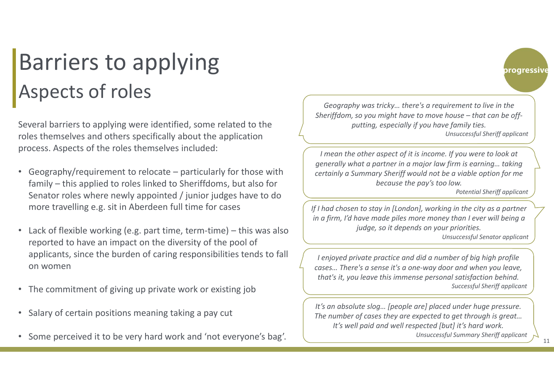### Barriers to applying Aspects of roles

Several barriers to applying were identified, some related to the roles themselves and others specifically about the application process. Aspects of the roles themselves included:

- $\bullet$  Geography/requirement to relocate – particularly for those with family – this applied to roles linked to Sheriffdoms, but also for Senator roles where newly appointed / junior judges have to do more travelling e.g. sit in Aberdeen full time for cases
- •Lack of flexible working (e.g. part time, term-time) – this was also reported to have an impact on the diversity of the pool of applicants, since the burden of caring responsibilities tends to fall on women
- The commitment of giving up private work or existing job
- •Salary of certain positions meaning taking a pay cut
- $\bullet$ Some perceived it to be very hard work and 'not everyone's bag'.

*Geography was tricky… there's a requirement to live in the Sheriffdom, so you might have to move house – that can be offputting, especially if you have family ties. Unsuccessful Sheriff applicant* 

*I mean the other aspect of it is income. If you were to look at generally what a partner in a major law firm is earning… taking certainly a Summary Sheriff would not be a viable option for me because the pay's too low.*

*Potential Sheriff applicant* 

progressive

*If I had chosen to stay in [London], working in the city as a partner in a firm, I'd have made piles more money than I ever will being a judge, so it depends on your priorities.*

*Unsuccessful Senator applicant* 

*I enjoyed private practice and did a number of big high profile cases… There's a sense it's a one-way door and when you leave, that's it, you leave this immense personal satisfaction behind. Successful Sheriff applicant* 

*It's an absolute slog… [people are] placed under huge pressure. The number of cases they are expected to get through is great… It's well paid and well respected [but] it's hard work. Unsuccessful Summary Sheriff applicant* 

11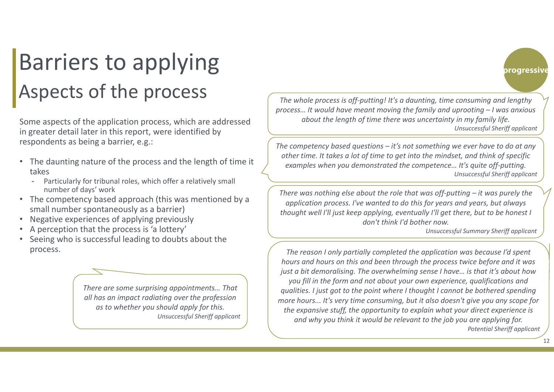### Barriers to applying Aspects of the process

Some aspects of the application process, which are addressed in greater detail later in this report, were identified by respondents as being a barrier, e.g.:

- The daunting nature of the process and the length of time it takes
	- Particularly for tribunal roles, which offer a relatively small number of days' work
- The competency based approach (this was mentioned by a small number spontaneously as a barrier)
- •Negative experiences of applying previously
- •A perception that the process is 'a lottery'
- • Seeing who is successful leading to doubts about the process.

*There are some surprising appointments… That all has an impact radiating over the profession as to whether you should apply for this. Unsuccessful Sheriff applicant* 

*The whole process is off-putting! It's a daunting, time consuming and lengthy process… It would have meant moving the family and uprooting – I was anxious about the length of time there was uncertainty in my family life. Unsuccessful Sheriff applicant* 

*The competency based questions – it's not something we ever have to do at any other time. It takes a lot of time to get into the mindset, and think of specific examples when you demonstrated the competence… It's quite off-putting. Unsuccessful Sheriff applicant* 

*There was nothing else about the role that was off-putting – it was purely the application process. I've wanted to do this for years and years, but always thought well I'll just keep applying, eventually I'll get there, but to be honest I don't think I'd bother now.*

*Unsuccessful Summary Sheriff applicant* 

progressive

*The reason I only partially completed the application was because I'd spent hours and hours on this and been through the process twice before and it was just a bit demoralising. The overwhelming sense I have… is that it's about how you fill in the form and not about your own experience, qualifications and qualities. I just got to the point where I thought I cannot be bothered spending more hours... It's very time consuming, but it also doesn't give you any scope for the expansive stuff, the opportunity to explain what your direct experience is and why you think it would be relevant to the job you are applying for. Potential Sheriff applicant*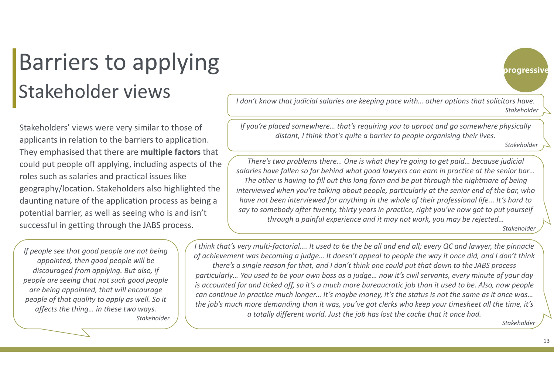### Barriers to applying Stakeholder views

Stakeholders' views were very similar to those of applicants in relation to the barriers to application. They emphasised that there are **multiple factors** that could put people off applying, including aspects of the roles such as salaries and practical issues like geography/location. Stakeholders also highlighted the daunting nature of the application process as being a potential barrier, as well as seeing who is and isn't successful in getting through the JABS process.

*If people see that good people are not being appointed, then good people will be discouraged from applying. But also, if people are seeing that not such good people are being appointed, that will encourage people of that quality to apply as well. So it affects the thing… in these two ways. Stakeholder* *I don't know that judicial salaries are keeping pace with… other options that solicitors have. Stakeholder*

*If you're placed somewhere… that's requiring you to uproot and go somewhere physically distant, I think that's quite a barrier to people organising their lives.*

*Stakeholder*

progressive

*There's two problems there… One is what they're going to get paid… because judicial salaries have fallen so far behind what good lawyers can earn in practice at the senior bar… The other is having to fill out this long form and be put through the nightmare of being interviewed when you're talking about people, particularly at the senior end of the bar, who have not been interviewed for anything in the whole of their professional life... It's hard to say to somebody after twenty, thirty years in practice, right you've now got to put yourself through a painful experience and it may not work, you may be rejected… Stakeholder*

*I think that's very multi-factorial…. It used to be the be all and end all; every QC and lawyer, the pinnacle of achievement was becoming a judge… It doesn't appeal to people the way it once did, and I don't think there's a single reason for that, and I don't think one could put that down to the JABS process particularly… You used to be your own boss as a judge… now it's civil servants, every minute of your day is accounted for and ticked off, so it's a much more bureaucratic job than it used to be. Also, now people can continue in practice much longer… It's maybe money, it's the status is not the same as it once was… the job's much more demanding than it was, you've got clerks who keep your timesheet all the time, it's a totally different world. Just the job has lost the cache that it once had.*

*Stakeholder*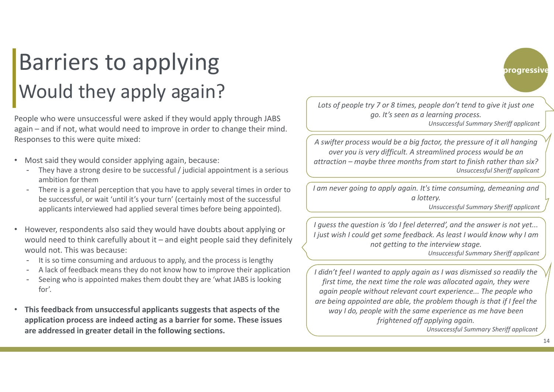### Barriers to applying Would they apply again?

People who were unsuccessful were asked if they would apply through JABS again – and if not, what would need to improve in order to change their mind. Responses to this were quite mixed:

- • Most said they would consider applying again, because:
	- - They have a strong desire to be successful / judicial appointment is a serious ambition for them
	- There is a general perception that you have to apply several times in order to be successful, or wait 'until it's your turn' (certainly most of the successful applicants interviewed had applied several times before being appointed).
- • However, respondents also said they would have doubts about applying or would need to think carefully about it – and eight people said they definitely would not. This was because:
	- -It is so time consuming and arduous to apply, and the process is lengthy
	- -A lack of feedback means they do not know how to improve their application
	- - Seeing who is appointed makes them doubt they are 'what JABS is looking for'.
- • **This feedback from unsuccessful applicants suggests that aspects of the application process are indeed acting as a barrier for some. These issues are addressed in greater detail in the following sections.**



*Lots of people try 7 or 8 times, people don't tend to give it just one go. It's seen as a learning process. Unsuccessful Summary Sheriff applicant* 

*A swifter process would be a big factor, the pressure of it all hanging over you is very difficult. A streamlined process would be an attraction – maybe three months from start to finish rather than six? Unsuccessful Sheriff applicant* 

*I am never going to apply again. It's time consuming, demeaning and a lottery.*

*Unsuccessful Summary Sheriff applicant*

*I guess the question is 'do I feel deterred', and the answer is not yet... I just wish I could get some feedback. As least I would know why I am not getting to the interview stage.* 

*Unsuccessful Summary Sheriff applicant*

*I didn't feel I wanted to apply again as I was dismissed so readily the first time, the next time the role was allocated again, they were again people without relevant court experience... The people who are being appointed are able, the problem though is that if I feel the way I do, people with the same experience as me have been frightened off applying again.* 

*Unsuccessful Summary Sheriff applicant*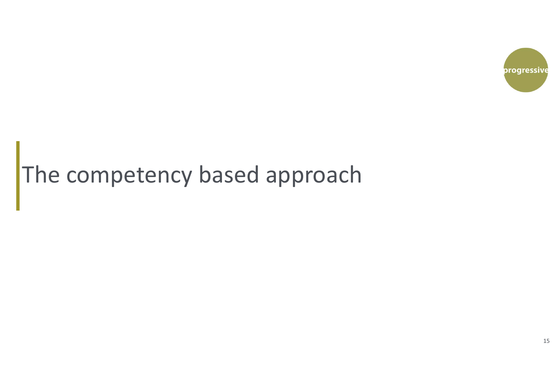

# The competency based approach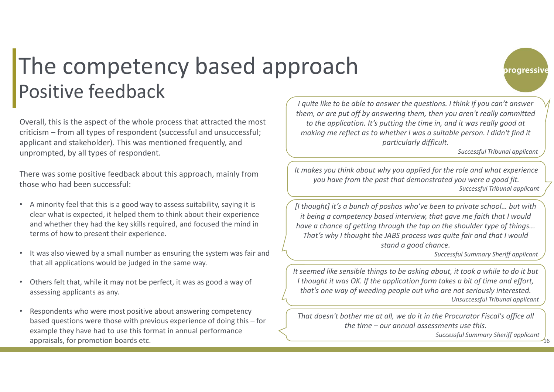### The competency based approach Positive feedback

Overall, this is the aspect of the whole process that attracted the most criticism – from all types of respondent (successful and unsuccessful; applicant and stakeholder). This was mentioned frequently, and unprompted, by all types of respondent.

There was some positive feedback about this approach, mainly from those who had been successful:

- A minority feel that this is a good way to assess suitability, saying it is clear what is expected, it helped them to think about their experience and whether they had the key skills required, and focused the mind in terms of how to present their experience.
- • It was also viewed by a small number as ensuring the system was fair and that all applications would be judged in the same way.
- • Others felt that, while it may not be perfect, it was as good a way of assessing applicants as any.
- • Respondents who were most positive about answering competency based questions were those with previous experience of doing this – for example they have had to use this format in annual performance appraisals, for promotion boards etc.

*I quite like to be able to answer the questions. I think if you can't answer them, or are put off by answering them, then you aren't really committed to the application. It's putting the time in, and it was really good at making me reflect as to whether I was a suitable person. I didn't find it particularly difficult.* 

*Successful Tribunal applicant* 

progressive

*It makes you think about why you applied for the role and what experience you have from the past that demonstrated you were a good fit. Successful Tribunal applicant* 

*[I thought] it's a bunch of poshos who've been to private school… but with it being a competency based interview, that gave me faith that I would have a chance of getting through the tap on the shoulder type of things... That's why I thought the JABS process was quite fair and that I would stand a good chance.*

*Successful Summary Sheriff applicant* 

*It seemed like sensible things to be asking about, it took a while to do it but I thought it was OK. If the application form takes a bit of time and effort, that's one way of weeding people out who are not seriously interested. Unsuccessful Tribunal applicant* 

*That doesn't bother me at all, we do it in the Procurator Fiscal's office all the time – our annual assessments use this.* 

> 16*Successful Summary Sheriff applicant*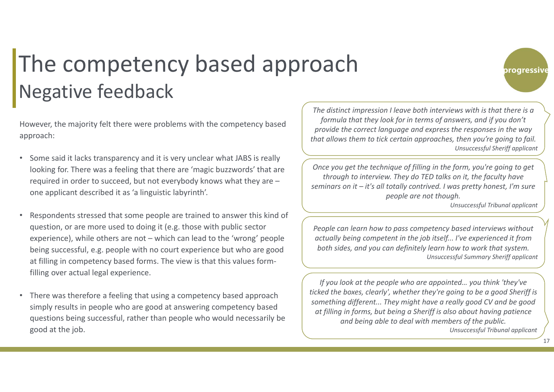### The competency based approach Negative feedback

However, the majority felt there were problems with the competency based approach:

- • Some said it lacks transparency and it is very unclear what JABS is really looking for. There was a feeling that there are 'magic buzzwords' that are required in order to succeed, but not everybody knows what they are – one applicant described it as 'a linguistic labyrinth'.
- • Respondents stressed that some people are trained to answer this kind of question, or are more used to doing it (e.g. those with public sector experience), while others are not – which can lead to the 'wrong' people being successful, e.g. people with no court experience but who are good at filling in competency based forms. The view is that this values form‐ filling over actual legal experience.
- There was therefore a feeling that using a competency based approach simply results in people who are good at answering competency based questions being successful, rather than people who would necessarily be good at the job.

*The distinct impression I leave both interviews with is that there is a formula that they look for in terms of answers, and if you don't provide the correct language and express the responses in the way that allows them to tick certain approaches, then you're going to fail. Unsuccessful Sheriff applicant*

*Once you get the technique of filling in the form, you're going to get through to interview. They do TED talks on it, the faculty have seminars on it – it's all totally contrived. I was pretty honest, I'm sure people are not though.*

*Unsuccessful Tribunal applicant*

progressive

*People can learn how to pass competency based interviews without actually being competent in the job itself... I've experienced it from both sides, and you can definitely learn how to work that system. Unsuccessful Summary Sheriff applicant*

*If you look at the people who are appointed… you think 'they've ticked the boxes, clearly', whether they're going to be a good Sheriff is something different... They might have a really good CV and be good at filling in forms, but being a Sheriff is also about having patience and being able to deal with members of the public. Unsuccessful Tribunal applicant*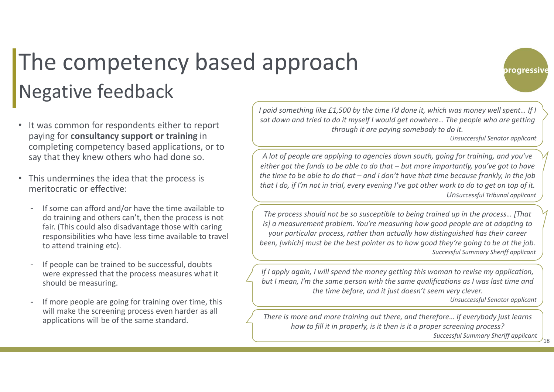### The competency based approach Negative feedback

- • It was common for respondents either to report paying for **consultancy support or training** in completing competency based applications, or to say that they knew others who had done so.
- • This undermines the idea that the process is meritocratic or effective:
	- If some can afford and/or have the time available to do training and others can't, then the process is not fair. (This could also disadvantage those with caring responsibilities who have less time available to travel to attend training etc).
	- If people can be trained to be successful, doubts were expressed that the process measures what it should be measuring.
	- If more people are going for training over time, this will make the screening process even harder as all applications will be of the same standard.

*I paid something like £1,500 by the time I'd done it, which was money well spent… If I sat down and tried to do it myself I would get nowhere… The people who are getting through it are paying somebody to do it.*

*Unsuccessful Senator applicant*

progressive

*A lot of people are applying to agencies down south, going for training, and you've either got the funds to be able to do that – but more importantly, you've got to have the time to be able to do that – and I don't have that time because frankly, in the job that I do, if I'm not in trial, every evening I've got other work to do to get on top of it. Unsuccessful Tribunal applicant*

*The process should not be so susceptible to being trained up in the process… [That is] a measurement problem. You're measuring how good people are at adapting to your particular process, rather than actually how distinguished has their career been, [which] must be the best pointer as to how good they're going to be at the job. Successful Summary Sheriff applicant*

*If I apply again, I will spend the money getting this woman to revise my application, but I mean, I'm the same person with the same qualifications as I was last time and the time before, and it just doesn't seem very clever. Unsuccessful Senator applicant*

*There is more and more training out there, and therefore… If everybody just learns how to fill it in properly, is it then is it a proper screening process?*

*Successful Summary Sheriff applicant*

18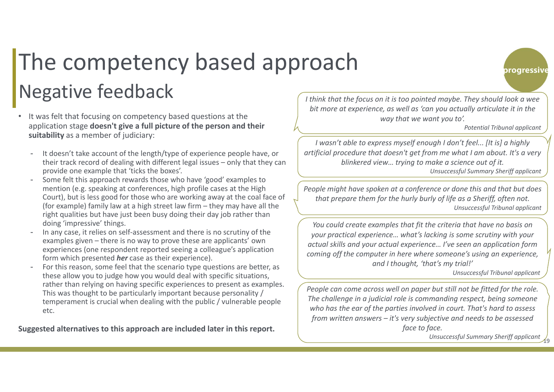# The competency based approach Negative feedback

- • It was felt that focusing on competency based questions at the application stage **doesn't give a full picture of the person and their suitability** as a member of judiciary:
	- - It doesn't take account of the length/type of experience people have, or their track record of dealing with different legal issues – only that they can provide one example that 'ticks the boxes'.
	- - Some felt this approach rewards those who have 'good' examples to mention (e.g. speaking at conferences, high profile cases at the High Court), but is less good for those who are working away at the coal face of (for example) family law at a high street law firm – they may have all the right qualities but have just been busy doing their day job rather than doing 'impressive' things.
	- In any case, it relies on self-assessment and there is no scrutiny of the examples given – there is no way to prove these are applicants' own experiences (one respondent reported seeing a colleague's application form which presented *her* case as their experience).
	- - For this reason, some feel that the scenario type questions are better, as these allow you to judge how you would deal with specific situations, rather than relying on having specific experiences to present as examples. This was thought to be particularly important because personality / temperament is crucial when dealing with the public / vulnerable people etc.

**Suggested alternatives to this approach are included later in this report.**

*I think that the focus on it is too pointed maybe. They should look a wee bit more at experience, as well as 'can you actually articulate it in the way that we want you to'.*

*Potential Tribunal applicant*

progressive

*I wasn't able to express myself enough I don't feel... [It is] a highly artificial procedure that doesn't get from me what I am about. It's a very blinkered view… trying to make a science out of it.*

*Unsuccessful Summary Sheriff applicant*

*People might have spoken at a conference or done this and that but does that prepare them for the hurly burly of life as a Sheriff, often not. Unsuccessful Tribunal applicant*

*You could create examples that fit the criteria that have no basis on your practical experience… what's lacking is some scrutiny with your actual skills and your actual experience… I've seen an application form coming off the computer in here where someone's using an experience, and I thought, 'that's my trial!'* 

*Unsuccessful Tribunal applicant*

*People can come across well on paper but still not be fitted for the role. The challenge in a judicial role is commanding respect, being someone who has the ear of the parties involved in court. That's hard to assess from written answers – it's very subjective and needs to be assessed face to face.*

> 19*Unsuccessful Summary Sheriff applicant*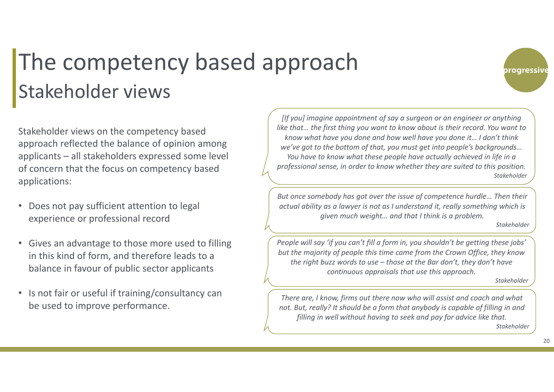### The competency based approach Stakeholder views

Stakeholder views on the competency based approach reflected the balance of opinion among applicants – all stakeholders expressed some level of concern that the focus on competency based applications:

- • Does not pay sufficient attention to legal experience or professional record
- Gives an advantage to those more used to filling in this kind of form, and therefore leads to a balance in favour of public sector applicants
- Is not fair or useful if training/consultancy can be used to improve performance.

*[If you] imagine appointment of say a surgeon or an engineer or anything like that… the first thing you want to know about is their record. You want to know what have you done and how well have you done it… I don't think we've got to the bottom of that, you must get into people's backgrounds… You have to know what these people have actually achieved in life in a professional sense, in order to know whether they are suited to this position. Stakeholder*

*But once somebody has got over the issue of competence hurdle… Then their actual ability as a lawyer is not as I understand it, really something which is given much weight… and that I think is a problem.* 

*Stakeholder*

progressive

*People will say 'if you can't fill a form in, you shouldn't be getting these jobs' but the majority of people this time came from the Crown Office, they know the right buzz words to use – those at the Bar don't, they don't have continuous appraisals that use this approach.* 

*Stakeholder*

*There are, I know, firms out there now who will assist and coach and what not. But, really? It should be a form that anybody is capable of filling in and filling in well without having to seek and pay for advice like that. Stakeholder*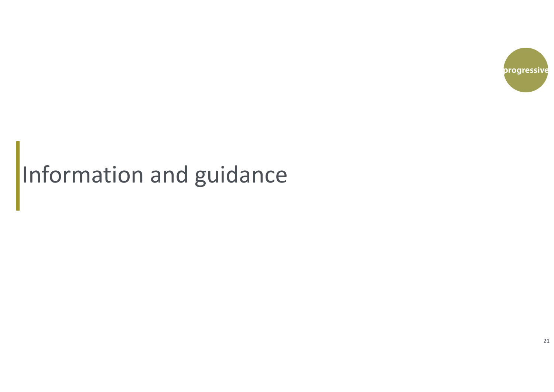

# Information and guidance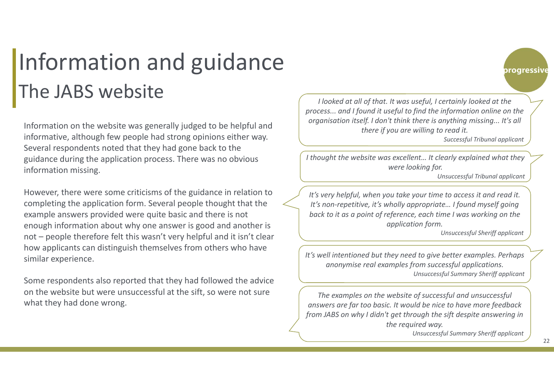### Information and guidance The JABS website

Information on the website was generally judged to be helpful and informative, although few people had strong opinions either way. Several respondents noted that they had gone back to the guidance during the application process. There was no obvious information missing.

However, there were some criticisms of the guidance in relation to completing the application form. Several people thought that the example answers provided were quite basic and there is not enough information about why one answer is good and another is not – people therefore felt this wasn't very helpful and it isn't clear how applicants can distinguish themselves from others who have similar experience.

Some respondents also reported that they had followed the advice on the website but were unsuccessful at the sift, so were not sure what they had done wrong.

 *I looked at all of that. It was useful, I certainly looked at the process... and I found it useful to find the information online on the organisation itself. I don't think there is anything missing... It's all there if you are willing to read it.* 

*Successful Tribunal applicant*

progressive

*I thought the website was excellent… It clearly explained what they were looking for.* 

*Unsuccessful Tribunal applicant*

*It's very helpful, when you take your time to access it and read it. It's non-repetitive, it's wholly appropriate… I found myself going back to it as a point of reference, each time I was working on the application form.*

*Unsuccessful Sheriff applicant*

*It's well intentioned but they need to give better examples. Perhaps anonymise real examples from successful applications. Unsuccessful Summary Sheriff applicant*

*The examples on the website of successful and unsuccessful answers are far too basic. It would be nice to have more feedback from JABS on why I didn't get through the sift despite answering in the required way.*

*Unsuccessful Summary Sheriff applicant*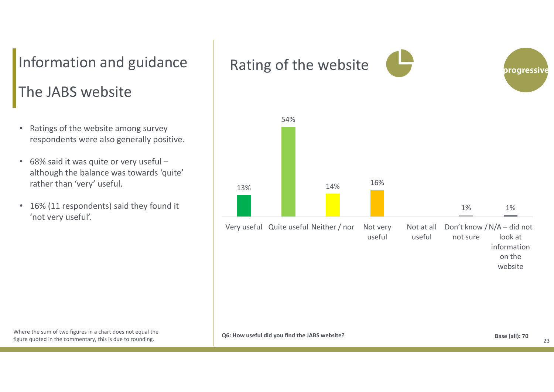### The JABS website Information and guidance  $\parallel$  Rating of the website

- • Ratings of the website among survey respondents were also generally positive.
- 68% said it was quite or very useful although the balance was towards 'quite' rather than 'very' useful.
- $\bullet$  16% (11 respondents) said they found it 'not very useful'.

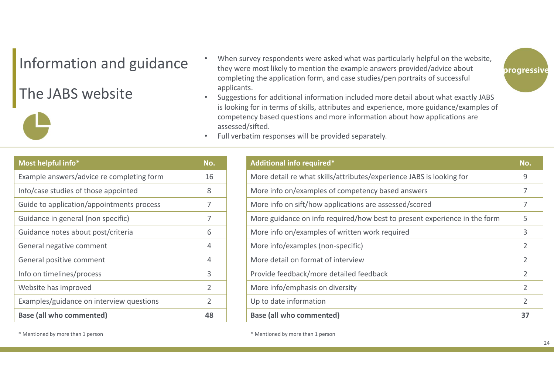### Information and guidance

### The JABS website

- •When survey respondents were asked what was particularly helpful on the website, they were most likely to mention the example answers provided/advice about completing the application form, and case studies/pen portraits of successful applicants.
- • Suggestions for additional information included more detail about what exactly JABS is looking for in terms of skills, attributes and experience, more guidance/examples of competency based questions and more information about how applications are assessed/sifted.
- •Full verbatim responses will be provided separately.

| Most helpful info*                        | No.            |
|-------------------------------------------|----------------|
| Example answers/advice re completing form | 16             |
| Info/case studies of those appointed      | 8              |
| Guide to application/appointments process | 7              |
| Guidance in general (non specific)        | 7              |
| Guidance notes about post/criteria        | 6              |
| General negative comment                  | 4              |
| General positive comment                  | 4              |
| Info on timelines/process                 | 3              |
| Website has improved                      | $\overline{2}$ |
| Examples/guidance on interview questions  | 2              |
| <b>Base (all who commented)</b>           | 48             |

| Additional info required*                                                 | No.            |
|---------------------------------------------------------------------------|----------------|
| More detail re what skills/attributes/experience JABS is looking for      | 9              |
| More info on/examples of competency based answers                         | 7              |
| More info on sift/how applications are assessed/scored                    | 7              |
| More guidance on info required/how best to present experience in the form | 5              |
| More info on/examples of written work required                            | 3              |
| More info/examples (non-specific)                                         | $\overline{2}$ |
| More detail on format of interview                                        | 2              |
| Provide feedback/more detailed feedback                                   | 2              |
| More info/emphasis on diversity                                           | 2              |
| Up to date information                                                    | $\overline{2}$ |
| <b>Base (all who commented)</b>                                           | 37             |

\* Mentioned by more than 1 person than 1 person than 1 person than 1 person than 1 person than 1 person than 1 person than 1 person than 1 person than 1 person than 1 person than 1 person than 1 person than 1 person than 1

progressive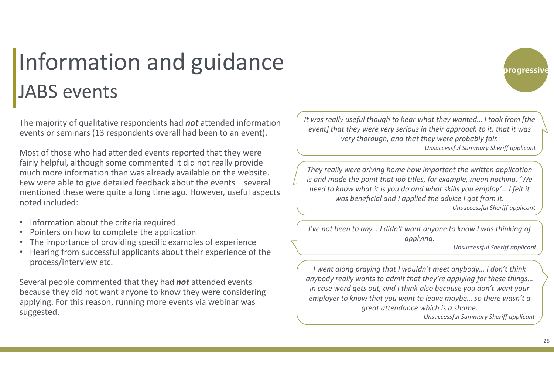## Information and guidance JABS events

The majority of qualitative respondents had *not* attended information events or seminars (13 respondents overall had been to an event).

Most of those who had attended events reported that they were fairly helpful, although some commented it did not really provide much more information than was already available on the website. Few were able to give detailed feedback about the events – several mentioned these were quite a long time ago. However, useful aspects noted included:

- •Information about the criteria required
- •Pointers on how to complete the application
- •The importance of providing specific examples of experience
- • Hearing from successful applicants about their experience of the process/interview etc.

Several people commented that they had *not* attended events because they did not want anyone to know they were considering applying. For this reason, running more events via webinar was suggested.

*It was really useful though to hear what they wanted… I took from [the event] that they were very serious in their approach to it, that it was very thorough, and that they were probably fair. Unsuccessful Summary Sheriff applicant*

*They really were driving home how important the written application is and made the point that job titles, for example, mean nothing. 'We need to know what it is you do and what skills you employ'… I felt it was beneficial and I applied the advice I got from it.* 

*Unsuccessful Sheriff applicant*

*I've not been to any… I didn't want anyone to know I was thinking of applying.* 

*Unsuccessful Sheriff applicant*

*I went along praying that I wouldn't meet anybody… I don't think anybody really wants to admit that they're applying for these things… in case word gets out, and I think also because you don't want your employer to know that you want to leave maybe… so there wasn't a great attendance which is a shame.* 

*Unsuccessful Summary Sheriff applicant*

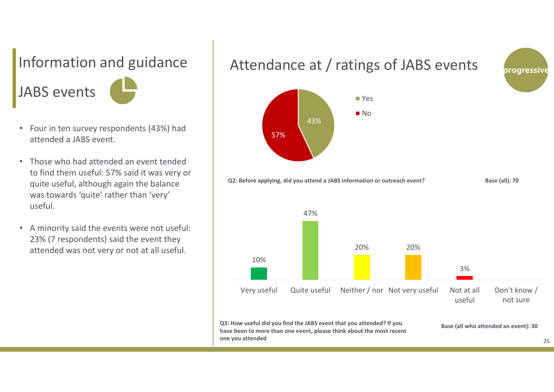# JABS events

- Four in ten survey respondents (43%) had attended a JABS event.
- Those who had attended an event tended to find them useful: 57% said it was very or quite useful, although again the balance was towards 'quite' rather than 'very' useful.
- A minority said the events were not useful: 23% (7 respondents) said the event they attended was not very or not at all useful.

### Information and guidance  $\parallel$  Attendance at / ratings of JABS events





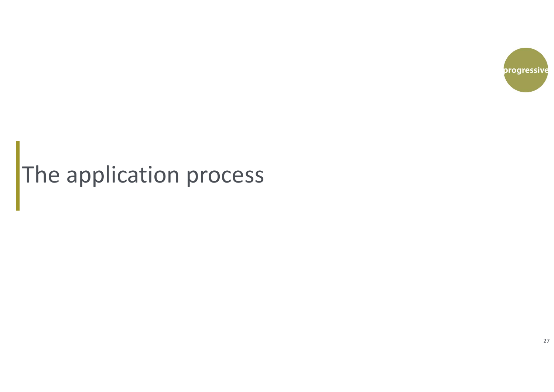

# The application process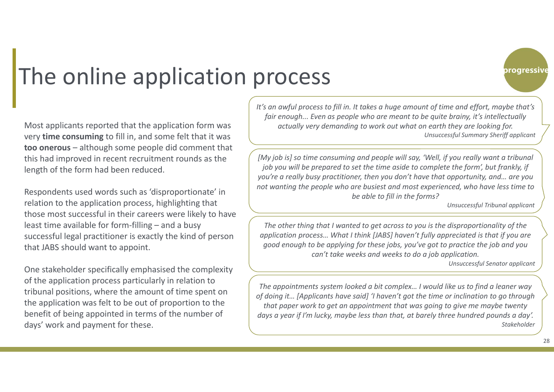

### The online application process

Most applicants reported that the application form was very **time consuming** to fill in, and some felt that it was **too onerous** – although some people did comment that this had improved in recent recruitment rounds as the length of the form had been reduced.

Respondents used words such as 'disproportionate' in relation to the application process, highlighting that those most successful in their careers were likely to have least time available for form-filling – and a busy successful legal practitioner is exactly the kind of person that JABS should want to appoint.

One stakeholder specifically emphasised the complexity of the application process particularly in relation to tribunal positions, where the amount of time spent on the application was felt to be out of proportion to the benefit of being appointed in terms of the number of days' work and payment for these.

*It's an awful process to fill in. It takes a huge amount of time and effort, maybe that's fair enough... Even as people who are meant to be quite brainy, it's intellectually actually very demanding to work out what on earth they are looking for. Unsuccessful Summary Sheriff applicant*

*[My job is] so time consuming and people will say, 'Well, if you really want a tribunal job you will be prepared to set the time aside to complete the form', but frankly, if you're a really busy practitioner, then you don't have that opportunity, and… are you not wanting the people who are busiest and most experienced, who have less time to be able to fill in the forms?*

*Unsuccessful Tribunal applicant*

*The other thing that I wanted to get across to you is the disproportionality of the application process… What I think [JABS] haven't fully appreciated is that if you are good enough to be applying for these jobs, you've got to practice the job and you can't take weeks and weeks to do a job application.*

*Unsuccessful Senator applicant*

*The appointments system looked a bit complex… I would like us to find a leaner way of doing it… [Applicants have said] 'I haven't got the time or inclination to go through that paper work to get an appointment that was going to give me maybe twenty days a year if I'm lucky, maybe less than that, at barely three hundred pounds a day'. Stakeholder*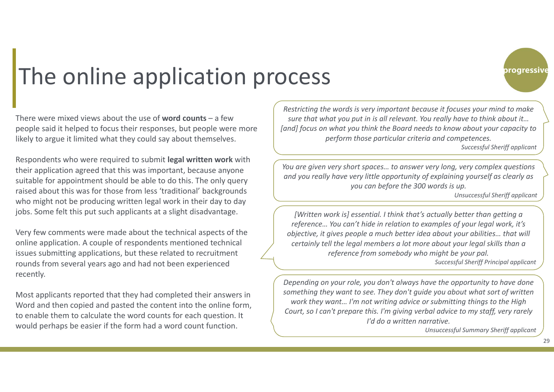

### The online application process

There were mixed views about the use of **word counts** – a few people said it helped to focus their responses, but people were more likely to argue it limited what they could say about themselves.

Respondents who were required to submit **legal written work** with their application agreed that this was important, because anyone suitable for appointment should be able to do this. The only query raised about this was for those from less 'traditional' backgrounds who might not be producing written legal work in their day to day jobs. Some felt this put such applicants at a slight disadvantage.

Very few comments were made about the technical aspects of the online application. A couple of respondents mentioned technical issues submitting applications, but these related to recruitment rounds from several years ago and had not been experienced recently.

Most applicants reported that they had completed their answers in Word and then copied and pasted the content into the online form, to enable them to calculate the word counts for each question. It would perhaps be easier if the form had a word count function.

*Restricting the words is very important because it focuses your mind to make sure that what you put in is all relevant. You really have to think about it… [and] focus on what you think the Board needs to know about your capacity to perform those particular criteria and competences.* 

*Successful Sheriff applicant*

*You are given very short spaces… to answer very long, very complex questions and you really have very little opportunity of explaining yourself as clearly as you can before the 300 words is up.* 

*Unsuccessful Sheriff applicant*

*[Written work is] essential. I think that's actually better than getting a reference… You can't hide in relation to examples of your legal work, it's objective, it gives people a much better idea about your abilities… that will certainly tell the legal members a lot more about your legal skills than a reference from somebody who might be your pal.* 

*Successful Sheriff Principal applicant*

*Depending on your role, you don't always have the opportunity to have done something they want to see. They don't guide you about what sort of written work they want… I'm not writing advice or submitting things to the High Court, so I can't prepare this. I'm giving verbal advice to my staff, very rarely I'd do a written narrative.* 

*Unsuccessful Summary Sheriff applicant*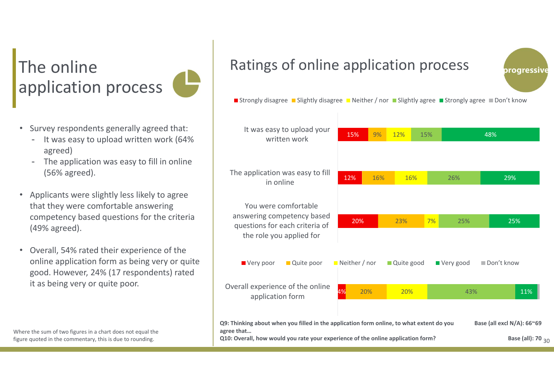### The online application process

- Survey respondents generally agreed that:
	- It was easy to upload written work (64% agreed)
	- - The application was easy to fill in online (56% agreed).
- Applicants were slightly less likely to agree that they were comfortable answering competency based questions for the criteria (49% agreed).
- Overall, 54% rated their experience of the online application form as being very or quite good. However, 24% (17 respondents) rated it as being very or quite poor.

### Ratings of online application process



Strongly disagree Slightly disagree Neither / nor Slightly agree Strongly agree Don't know



Where the sum of two figures in a chart does not equal the figure quoted in the commentary, this is due to rounding.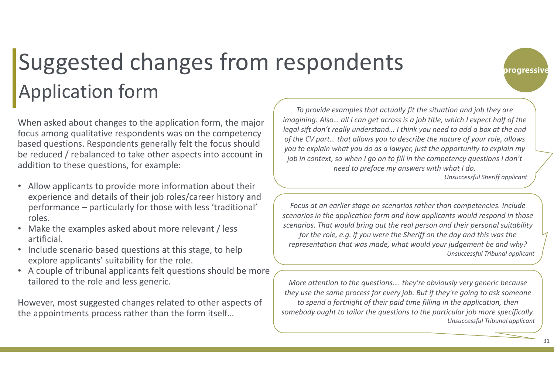### Application form Suggested changes from respondents

When asked about changes to the application form, the major focus among qualitative respondents was on the competency based questions. Respondents generally felt the focus should be reduced / rebalanced to take other aspects into account in addition to these questions, for example:

- Allow applicants to provide more information about their experience and details of their job roles/career history and performance – particularly for those with less 'traditional' roles.
- Make the examples asked about more relevant / less artificial.
- $\bullet$  Include scenario based questions at this stage, to help explore applicants' suitability for the role.
- A couple of tribunal applicants felt questions should be more tailored to the role and less generic.

However, most suggested changes related to other aspects of the appointments process rather than the form itself…

*To provide examples that actually fit the situation and job they are imagining. Also... all I can get across is a job title, which I expect half of the legal sift don't really understand… I think you need to add a box at the end of the CV part… that allows you to describe the nature of your role, allows you to explain what you do as a lawyer, just the opportunity to explain my job in context, so when I go on to fill in the competency questions I don't need to preface my answers with what I do.* 

*Unsuccessful Sheriff applicant*

progressive

*Focus at an earlier stage on scenarios rather than competencies. Include scenarios in the application form and how applicants would respond in those scenarios. That would bring out the real person and their personal suitability for the role, e.g. if you were the Sheriff on the day and this was the representation that was made, what would your judgement be and why? Unsuccessful Tribunal applicant*

*More attention to the questions…. they're obviously very generic because they use the same process for every job. But if they're going to ask someone to spend a fortnight of their paid time filling in the application, then somebody ought to tailor the questions to the particular job more specifically. Unsuccessful Tribunal applicant*

31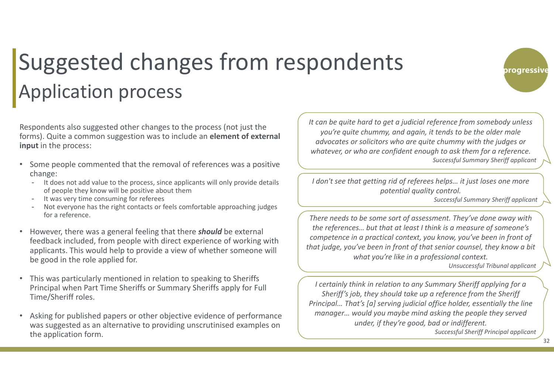### Application process Suggested changes from respondents

Respondents also suggested other changes to the process (not just the forms). Quite a common suggestion was to include an **element of external input** in the process:

- • Some people commented that the removal of references was a positive change:
	- It does not add value to the process, since applicants will only provide details of people they know will be positive about them
	- It was very time consuming for referees
	- Not everyone has the right contacts or feels comfortable approaching judges for a reference.
- • However, there was a general feeling that there *should* be external feedback included, from people with direct experience of working with applicants. This would help to provide a view of whether someone will be good in the role applied for.
- • This was particularly mentioned in relation to speaking to Sheriffs Principal when Part Time Sheriffs or Summary Sheriffs apply for Full Time/Sheriff roles.
- • Asking for published papers or other objective evidence of performance was suggested as an alternative to providing unscrutinised examples on the application form.

*It can be quite hard to get a judicial reference from somebody unless you're quite chummy, and again, it tends to be the older male advocates or solicitors who are quite chummy with the judges or whatever, or who are confident enough to ask them for a reference. Successful Summary Sheriff applicant*

*I don't see that getting rid of referees helps… it just loses one more potential quality control.* 

*Successful Summary Sheriff applicant*

progressive

*There needs to be some sort of assessment. They've done away with the references… but that at least I think is a measure of someone's competence in a practical context, you know, you've been in front of that judge, you've been in front of that senior counsel, they know a bit what you're like in a professional context.* 

*Unsuccessful Tribunal applicant*

*I certainly think in relation to any Summary Sheriff applying for a Sheriff's job, they should take up a reference from the Sheriff Principal… That's [a] serving judicial office holder, essentially the line manager… would you maybe mind asking the people they served under, if they're good, bad or indifferent. Successful Sheriff Principal applicant*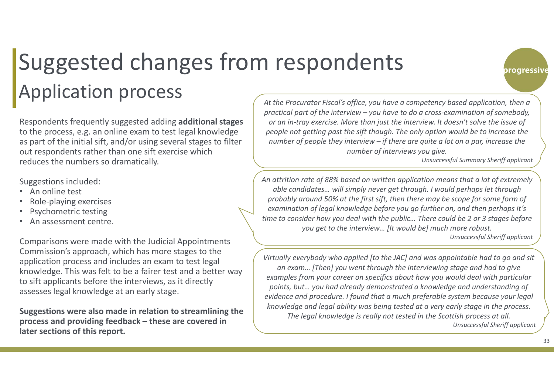## Suggested changes from respondents Application process and the Procurator Fiscal's office, you have a competency based application, then a

Respondents frequently suggested adding **additional stages**  to the process, e.g. an online exam to test legal knowledge as part of the initial sift, and/or using several stages to filter out respondents rather than one sift exercise which reduces the numbers so dramatically.

Suggestions included:

- An online test
- •Role‐playing exercises
- •Psychometric testing
- •An assessment centre.

Comparisons were made with the Judicial Appointments Commission's approach, which has more stages to the application process and includes an exam to test legal knowledge. This was felt to be a fairer test and a better way to sift applicants before the interviews, as it directly assesses legal knowledge at an early stage.

**Suggestions were also made in relation to streamlining the process and providing feedback – these are covered in later sections of this report.**

*practical part of the interview – you have to do a cross-examination of somebody, or an in-tray exercise. More than just the interview. It doesn't solve the issue of people not getting past the sift though. The only option would be to increase the number of people they interview – if there are quite a lot on a par, increase the number of interviews you give.* 

*Unsuccessful Summary Sheriff applicant*

progressive

*An attrition rate of 88% based on written application means that a lot of extremely able candidates… will simply never get through. I would perhaps let through probably around 50% at the first sift, then there may be scope for some form of examination of legal knowledge before you go further on, and then perhaps it's time to consider how you deal with the public… There could be 2 or 3 stages before you get to the interview… [It would be] much more robust.* 

*Unsuccessful Sheriff applicant*

*Virtually everybody who applied [to the JAC] and was appointable had to go and sit an exam… [Then] you went through the interviewing stage and had to give examples from your career on specifics about how you would deal with particular points, but… you had already demonstrated a knowledge and understanding of evidence and procedure. I found that a much preferable system because your legal knowledge and legal ability was being tested at a very early stage in the process. The legal knowledge is really not tested in the Scottish process at all. Unsuccessful Sheriff applicant*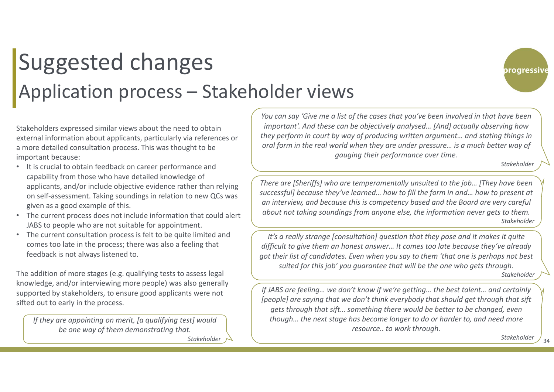### Suggested changes Application process – Stakeholder views

progressive

Stakeholders expressed similar views about the need to obtain external information about applicants, particularly via references or a more detailed consultation process. This was thought to be important because:

- It is crucial to obtain feedback on career performance and capability from those who have detailed knowledge of applicants, and/or include objective evidence rather than relying on self‐assessment. Taking soundings in relation to new QCs was given as a good example of this.
- The current process does not include information that could alert JABS to people who are not suitable for appointment.
- The current consultation process is felt to be quite limited and comes too late in the process; there was also a feeling that feedback is not always listened to.

The addition of more stages (e.g. qualifying tests to assess legal knowledge, and/or interviewing more people) was also generally supported by stakeholders, to ensure good applicants were not sifted out to early in the process.

*If they are appointing on merit, [a qualifying test] would be one way of them demonstrating that.* 

*Stakeholder*

*You can say 'Give me a list of the cases that you've been involved in that have been important'. And these can be objectively analysed… [And] actually observing how they perform in court by way of producing written argument… and stating things in oral form in the real world when they are under pressure… is a much better way of gauging their performance over time.*

*Stakeholder*

*There are [Sheriffs] who are temperamentally unsuited to the job… [They have been successful] because they've learned… how to fill the form in and… how to present at an interview, and because this is competency based and the Board are very careful about not taking soundings from anyone else, the information never gets to them. Stakeholder*

*It's a really strange [consultation] question that they pose and it makes it quite difficult to give them an honest answer… It comes too late because they've already got their list of candidates. Even when you say to them 'that one is perhaps not best suited for this job' you guarantee that will be the one who gets through.*

*Stakeholder*

*If JABS are feeling… we don't know if we're getting… the best talent… and certainly [people] are saying that we don't think everybody that should get through that sift gets through that sift… something there would be better to be changed, even though… the next stage has become longer to do or harder to, and need more resource.. to work through.* 

*Stakeholder*

34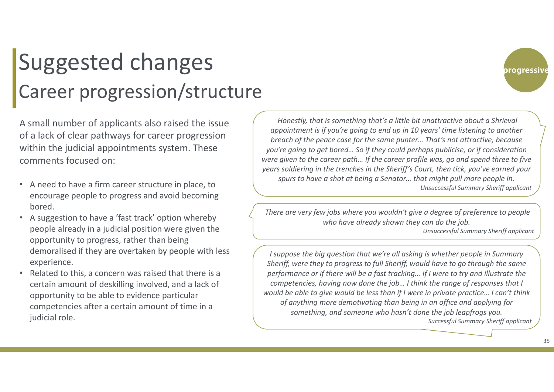### Career progression/structure Suggested changes

A small number of applicants also raised the issue of a lack of clear pathways for career progression within the judicial appointments system. These comments focused on:

- A need to have a firm career structure in place, to encourage people to progress and avoid becoming bored.
- A suggestion to have a 'fast track' option whereby people already in a judicial position were given the opportunity to progress, rather than being demoralised if they are overtaken by people with less experience.
- • Related to this, a concern was raised that there is a certain amount of deskilling involved, and a lack of opportunity to be able to evidence particular competencies after a certain amount of time in a judicial role.

*Honestly, that is something that's a little bit unattractive about a Shrieval appointment is if you're going to end up in 10 years' time listening to another breach of the peace case for the same punter… That's not attractive, because you're going to get bored… So if they could perhaps publicise, or if consideration were given to the career path… If the career profile was, go and spend three to five years soldiering in the trenches in the Sheriff's Court, then tick, you've earned your spurs to have a shot at being a Senator… that might pull more people in. Unsuccessful Summary Sheriff applicant*

*There are very few jobs where you wouldn't give a degree of preference to people who have already shown they can do the job.*

*Unsuccessful Summary Sheriff applicant*

*I suppose the big question that we're all asking is whether people in Summary Sheriff, were they to progress to full Sheriff, would have to go through the same performance or if there will be a fast tracking… If I were to try and illustrate the competencies, having now done the job… I think the range of responses that I would be able to give would be less than if I were in private practice… I can't think of anything more demotivating than being in an office and applying for something, and someone who hasn't done the job leapfrogs you. Successful Summary Sheriff applicant*

progressive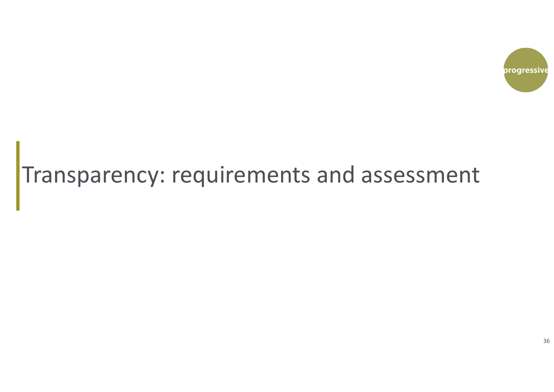

### Transparency: requirements and assessment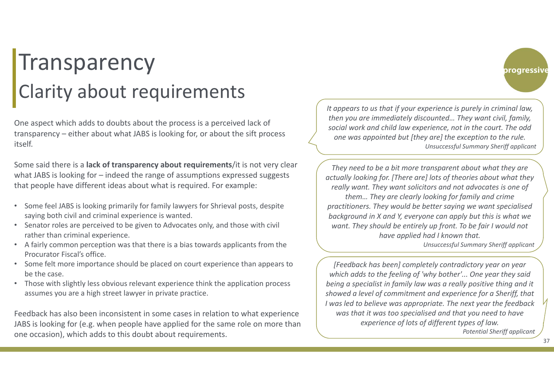#### **Transparency** Clarity about requirements

One aspect which adds to doubts about the process is a perceived lack of transparency – either about what JABS is looking for, or about the sift process itself.

Some said there is a **lack of transparency about requirements**/it is not very clear what JABS is looking for – indeed the range of assumptions expressed suggests that people have different ideas about what is required. For example:

- Some feel JABS is looking primarily for family lawyers for Shrieval posts, despite saying both civil and criminal experience is wanted.
- Senator roles are perceived to be given to Advocates only, and those with civil rather than criminal experience.
- A fairly common perception was that there is a bias towards applicants from the Procurator Fiscal's office.
- Some felt more importance should be placed on court experience than appears to be the case.
- • Those with slightly less obvious relevant experience think the application process assumes you are a high street lawyer in private practice.

Feedback has also been inconsistent in some cases in relation to what experience JABS is looking for (e.g. when people have applied for the same role on more than one occasion), which adds to this doubt about requirements.

*It appears to us that if your experience is purely in criminal law, then you are immediately discounted… They want civil, family, social work and child law experience, not in the court. The odd one was appointed but [they are] the exception to the rule. Unsuccessful Summary Sheriff applicant*

*They need to be a bit more transparent about what they are actually looking for. [There are] lots of theories about what they really want. They want solicitors and not advocates is one of them… They are clearly looking for family and crime practitioners. They would be better saying we want specialised background in X and Y, everyone can apply but this is what we want. They should be entirely up front. To be fair I would not have applied had I known that. Unsuccessful Summary Sheriff applicant*

*[Feedback has been] completely contradictory year on year which adds to the feeling of 'why bother'... One year they said being a specialist in family law was a really positive thing and it showed a level of commitment and experience for a Sheriff, that I was led to believe was appropriate. The next year the feedback was that it was too specialised and that you need to have experience of lots of different types of law. Potential Sheriff applicant*

37

progressive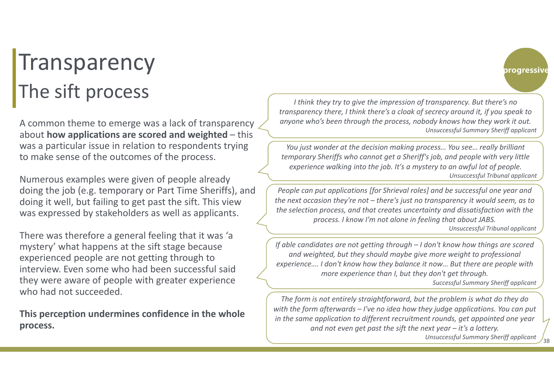#### **Transparency** The sift process

A common theme to emerge was a lack of transparency about **how applications are scored and weighted** – this was a particular issue in relation to respondents trying to make sense of the outcomes of the process.

Numerous examples were given of people already doing the job (e.g. temporary or Part Time Sheriffs), and doing it well, but failing to get past the sift. This view was expressed by stakeholders as well as applicants.

There was therefore a general feeling that it was 'a mystery' what happens at the sift stage because experienced people are not getting through to interview. Even some who had been successful said they were aware of people with greater experience who had not succeeded.

**This perception undermines confidence in the whole process.**

*I think they try to give the impression of transparency. But there's no transparency there, I think there's a cloak of secrecy around it, if you speak to anyone who's been through the process, nobody knows how they work it out. Unsuccessful Summary Sheriff applicant*

*You just wonder at the decision making process… You see… really brilliant temporary Sheriffs who cannot get a Sheriff's job, and people with very little experience walking into the job. It's a mystery to an awful lot of people. Unsuccessful Tribunal applicant*

*People can put applications [for Shrieval roles] and be successful one year and the next occasion they're not – there's just no transparency it would seem, as to the selection process, and that creates uncertainty and dissatisfaction with the process. I know I'm not alone in feeling that about JABS.* 

*Unsuccessful Tribunal applicant*

progressive

*If able candidates are not getting through – I don't know how things are scored and weighted, but they should maybe give more weight to professional experience…. I don't know how they balance it now… But there are people with more experience than I, but they don't get through. Successful Summary Sheriff applicant*

*The form is not entirely straightforward, but the problem is what do they do with the form afterwards – I've no idea how they judge applications. You can put in the same application to different recruitment rounds, get appointed one year and not even get past the sift the next year – it's a lottery.* 

*Unsuccessful Summary Sheriff applicant*

38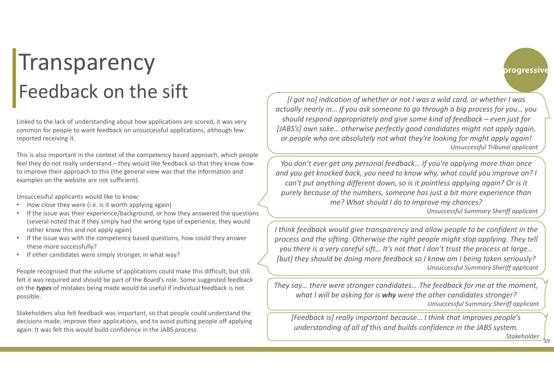#### **Transparency** Feedback on the sift

Linked to the lack of understanding about how applications are scored, it was very common for people to want feedback on unsuccessful applications, although few reported receiving it.

This is also important in the context of the competency based approach, which people feel they do not really understand – they would like feedback so that they know how to improve their approach to this (the general view was that the information and examples on the website are not sufficient).

Unsuccessful applicants would like to know:

- •How close they were (i.e. is it worth applying again)
- • If the issue was their experience/background, or how they answered the questions (several noted that if they simply had the wrong type of experience, they would rather know this and not apply again)
- If the issue was with the competency based questions, how could they answer these more successfully?
- If other candidates were simply stronger, in what way?

People recognised that the volume of applications could make this difficult, but still felt it was required and should be part of the Board's role. Some suggested feedback on the *types* of mistakes being made would be useful if individual feedback is not possible.

Stakeholders also felt feedback was important, so that people could understand the decisions made, improve their applications, and to avoid putting people off applying again. It was felt this would build confidence in the JABS process.

*[I got no] indication of whether or not I was a wild card, or whether I was actually nearly in… If you ask someone to go through a big process for you… you should respond appropriately and give some kind of feedback – even just for [JABS's] own sake… otherwise perfectly good candidates might not apply again, or people who are absolutely not what they're looking for might apply again! Unsuccessful Tribunal applicant*

*You don't ever get any personal feedback… If you're applying more than once and you get knocked back, you need to know why, what could you improve on? I can't put anything different down, so is it pointless applying again? Or is it purely because of the numbers, someone has just a bit more experience than me? What should I do to improve my chances?*

*Unsuccessful Summary Sheriff applicant*

*I think feedback would give transparency and allow people to be confident in the process and the sifting. Otherwise the right people might stop applying. They tell you there is a very careful sift… It's not that I don't trust the process at large… [but] they should be doing more feedback so I know am I being taken seriously? Unsuccessful Summary Sheriff applicant*

*They say… there were stronger candidates… The feedback for me at the moment, what I will be asking for is why were the other candidates stronger? Unsuccessful Summary Sheriff applicant*

*[Feedback is] really important because… I think that improves people's understanding of all of this and builds confidence in the JABS system.*

*Stakeholder*

progressive

39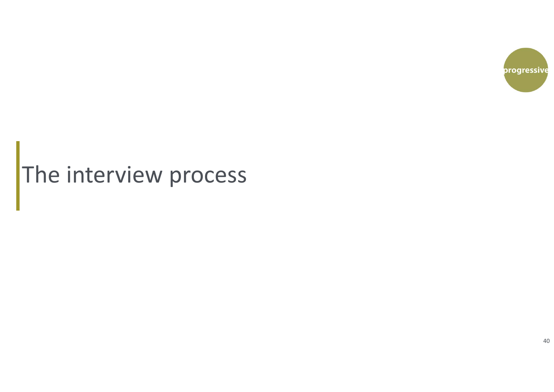

# The interview process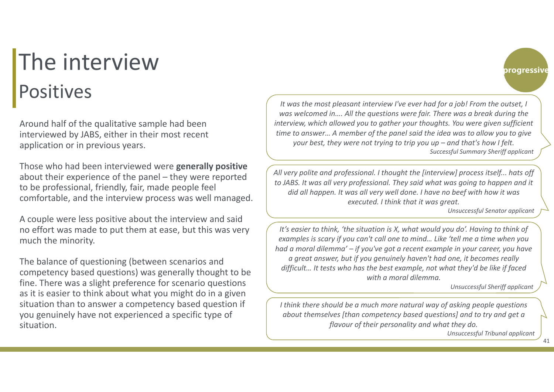### The interview Positives

Around half of the qualitative sample had been interviewed by JABS, either in their most recent application or in previous years.

Those who had been interviewed were **generally positive**  about their experience of the panel – they were reported to be professional, friendly, fair, made people feel comfortable, and the interview process was well managed.

A couple were less positive about the interview and said no effort was made to put them at ease, but this was very much the minority.

The balance of questioning (between scenarios and competency based questions) was generally thought to be fine. There was a slight preference for scenario questions as it is easier to think about what you might do in a given situation than to answer a competency based question if you genuinely have not experienced a specific type of situation.

*It was the most pleasant interview I've ever had for a job! From the outset, I was welcomed in…. All the questions were fair. There was a break during the interview, which allowed you to gather your thoughts. You were given sufficient time to answer… A member of the panel said the idea was to allow you to give your best, they were not trying to trip you up – and that's how I felt. Successful Summary Sheriff applicant*

*All very polite and professional. I thought the [interview] process itself... hats off to JABS. It was all very professional. They said what was going to happen and it did all happen. It was all very well done. I have no beef with how it was executed. I think that it was great.*

*Unsuccessful Senator applicant*

progressive

*It's easier to think, 'the situation is X, what would you do'. Having to think of examples is scary if you can't call one to mind… Like 'tell me a time when you had a moral dilemma' – if you've got a recent example in your career, you have a great answer, but if you genuinely haven't had one, it becomes really difficult… It tests who has the best example, not what they'd be like if faced with a moral dilemma.*

*Unsuccessful Sheriff applicant*

*I think there should be a much more natural way of asking people questions about themselves [than competency based questions] and to try and get a flavour of their personality and what they do.* 

*Unsuccessful Tribunal applicant*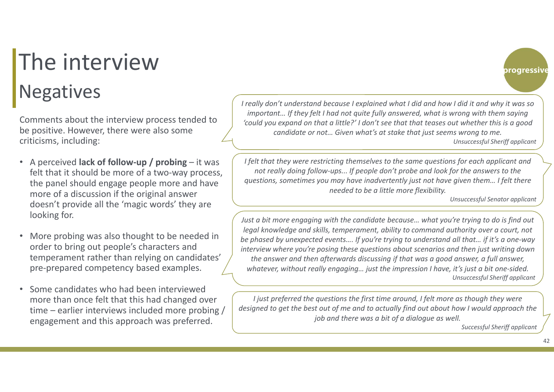# The interview Negatives *I really don't understand because I explained what I did and how I did it and why it was so*

Comments about the interview process tended to be positive. However, there were also some criticisms, including:

- A perceived **lack of follow-up / probing**  it was felt that it should be more of a two-way process, the panel should engage people more and have more of a discussion if the original answer doesn't provide all the 'magic words' they are looking for.
- • More probing was also thought to be needed in order to bring out people's characters and temperament rather than relying on candidates' pre‐prepared competency based examples.
- • Some candidates who had been interviewed more than once felt that this had changed over time – earlier interviews included more probing / engagement and this approach was preferred.

*important… If they felt I had not quite fully answered, what is wrong with them saying 'could you expand on that a little?' I don't see that that teases out whether this is a good candidate or not… Given what's at stake that just seems wrong to me. Unsuccessful Sheriff applicant*

*I felt that they were restricting themselves to the same questions for each applicant and not really doing follow-ups... If people don't probe and look for the answers to the questions, sometimes you may have inadvertently just not have given them… I felt there needed to be a little more flexibility.*

*Unsuccessful Senator applicant*

progressive

*Just a bit more engaging with the candidate because… what you're trying to do is find out legal knowledge and skills, temperament, ability to command authority over a court, not be phased by unexpected events…. If you're trying to understand all that… if it's a one-way interview where you're posing these questions about scenarios and then just writing down the answer and then afterwards discussing if that was a good answer, a full answer, whatever, without really engaging… just the impression I have, it's just a bit one-sided. Unsuccessful Sheriff applicant*

*I* just preferred the questions the first time around, *I* felt more as though they were *designed to get the best out of me and to actually find out about how I would approach the job and there was a bit of a dialogue as well.*

*Successful Sheriff applicant*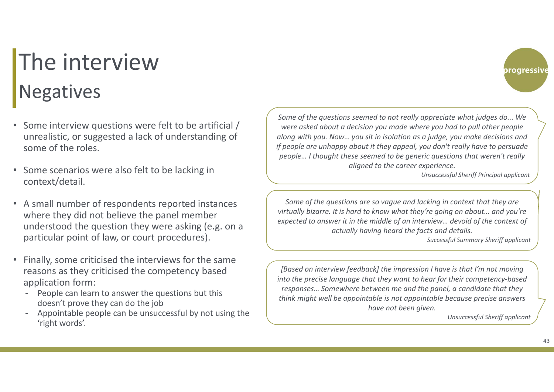# The interview Negatives

- Some interview questions were felt to be artificial / unrealistic, or suggested a lack of understanding of some of the roles.
- • Some scenarios were also felt to be lacking in context/detail.
- A small number of respondents reported instances where they did not believe the panel member understood the question they were asking (e.g. on a particular point of law, or court procedures).
- • Finally, some criticised the interviews for the same reasons as they criticised the competency based application form:
	- People can learn to answer the questions but this doesn't prove they can do the job
	- Appointable people can be unsuccessful by not using the 'right words'.

*Some of the questions seemed to not really appreciate what judges do... We were asked about a decision you made where you had to pull other people along with you. Now… you sit in isolation as a judge, you make decisions and if people are unhappy about it they appeal, you don't really have to persuade people… I thought these seemed to be generic questions that weren't really aligned to the career experience.*

*Unsuccessful Sheriff Principal applicant*

progressive

*Some of the questions are so vague and lacking in context that they are virtually bizarre. It is hard to know what they're going on about… and you're expected to answer it in the middle of an interview… devoid of the context of actually having heard the facts and details.*

*Successful Summary Sheriff applicant*

*[Based on interview feedback] the impression I have is that I'm not moving into the precise language that they want to hear for their competency-based responses… Somewhere between me and the panel, a candidate that they think might well be appointable is not appointable because precise answers have not been given.*

*Unsuccessful Sheriff applicant*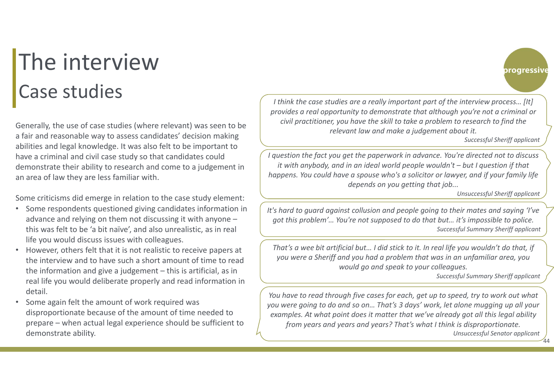#### The interview Case studies

Generally, the use of case studies (where relevant) was seen to be a fair and reasonable way to assess candidates' decision making abilities and legal knowledge. It was also felt to be important to have a criminal and civil case study so that candidates could demonstrate their ability to research and come to a judgement in an area of law they are less familiar with.

Some criticisms did emerge in relation to the case study element:

- • Some respondents questioned giving candidates information in advance and relying on them not discussing it with anyone – this was felt to be 'a bit naïve', and also unrealistic, as in real life you would discuss issues with colleagues.
- • However, others felt that it is not realistic to receive papers at the interview and to have such a short amount of time to read the information and give a judgement – this is artificial, as in real life you would deliberate properly and read information in detail.
- • Some again felt the amount of work required was disproportionate because of the amount of time needed to prepare – when actual legal experience should be sufficient to demonstrate ability.

*I think the case studies are a really important part of the interview process… [It] provides a real opportunity to demonstrate that although you're not a criminal or civil practitioner, you have the skill to take a problem to research to find the relevant law and make a judgement about it.* 

*Successful Sheriff applicant*

progressive

*I question the fact you get the paperwork in advance. You're directed not to discuss it with anybody, and in an ideal world people wouldn't – but I question if that happens. You could have a spouse who's a solicitor or lawyer, and if your family life depends on you getting that job...* 

*Unsuccessful Sheriff applicant*

*It's hard to guard against collusion and people going to their mates and saying 'I've got this problem'… You're not supposed to do that but… it's impossible to police. Successful Summary Sheriff applicant*

*That's a wee bit artificial but… I did stick to it. In real life you wouldn't do that, if you were a Sheriff and you had a problem that was in an unfamiliar area, you would go and speak to your colleagues.* 

*Successful Summary Sheriff applicant*

44

*You have to read through five cases for each, get up to speed, try to work out what you were going to do and so on… That's 3 days' work, let alone mugging up all your examples. At what point does it matter that we've already got all this legal ability from years and years and years? That's what I think is disproportionate. Unsuccessful Senator applicant*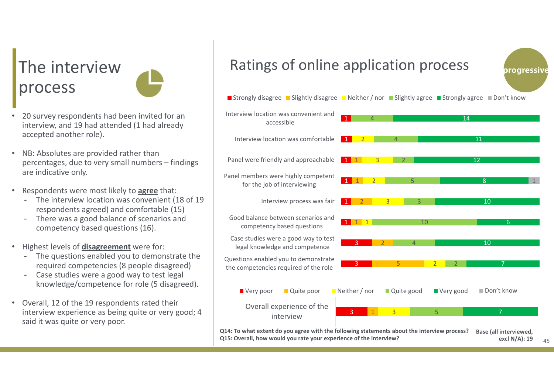#### The interview process

- • 20 survey respondents had been invited for an interview, and 19 had attended (1 had already accepted another role).
- • NB: Absolutes are provided rather than percentages, due to very small numbers – findings are indicative only.
- • Respondents were most likely to **agree** that:
	- The interview location was convenient (18 of 19 respondents agreed) and comfortable (15)
	- There was a good balance of scenarios and competency based questions (16).
- • Highest levels of **disagreement** were for:
	- The questions enabled you to demonstrate the required competencies (8 people disagreed)
	- Case studies were a good way to test legal knowledge/competence for role (5 disagreed).
- • Overall, 12 of the 19 respondents rated their interview experience as being quite or very good; 4 said it was quite or very poor.

#### Ratings of online application process



**Q14: To what extent do you agree with the following statements about the interview process? Q15: Overall, how would you rate your experience of the interview? Base (all interviewed, excl N/A): 19**

progressive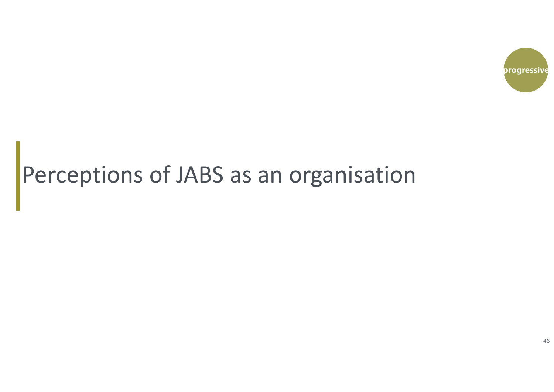

#### Perceptions of JABS as an organisation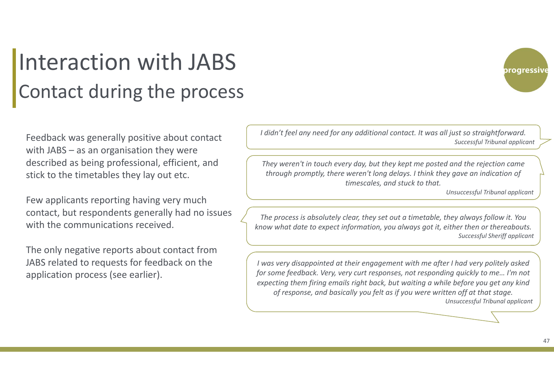#### Interaction with JABS Contact during the process

Feedback was generally positive about contact with JABS – as an organisation they were described as being professional, efficient, and stick to the timetables they lay out etc.

Few applicants reporting having very much contact, but respondents generally had no issues with the communications received.

The only negative reports about contact from JABS related to requests for feedback on the application process (see earlier).

*I didn't feel any need for any additional contact. It was all just so straightforward. Successful Tribunal applicant*

*They weren't in touch every day, but they kept me posted and the rejection came through promptly, there weren't long delays. I think they gave an indication of timescales, and stuck to that.* 

*Unsuccessful Tribunal applicant*

*The process is absolutely clear, they set out a timetable, they always follow it. You know what date to expect information, you always got it, either then or thereabouts. Successful Sheriff applicant*

*I was very disappointed at their engagement with me after I had very politely asked for some feedback. Very, very curt responses, not responding quickly to me… I'm not expecting them firing emails right back, but waiting a while before you get any kind of response, and basically you felt as if you were written off at that stage. Unsuccessful Tribunal applicant*

progressive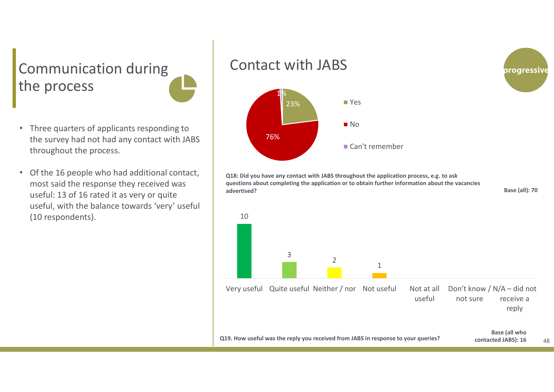#### Communication during the process

- Three quarters of applicants responding to the survey had not had any contact with JABS throughout the process.
- Of the 16 people who had additional contact, most said the response they received was useful: 13 of 16 rated it as very or quite useful, with the balance towards 'very' useful (10 respondents).

#### Contact with JABS



**Q18: Did you have any contact with JABS throughout the application process, e.g. to ask questions about completing the application or to obtain further information about the vacancies advertised?**



**Base (all): 70**

progressive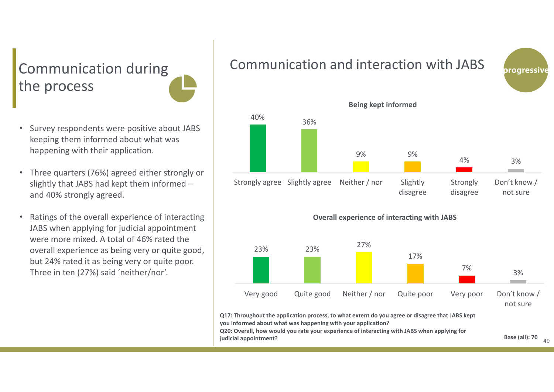#### Communication during the process

- • Survey respondents were positive about JABS keeping them informed about what was happening with their application.
- Three quarters (76%) agreed either strongly or slightly that JABS had kept them informed – and 40% strongly agreed.
- • Ratings of the overall experience of interacting JABS when applying for judicial appointment were more mixed. A total of 46% rated the overall experience as being very or quite good, but 24% rated it as being very or quite poor. Three in ten (27%) said 'neither/nor'.

#### Communication and interaction with JABS







**you informed about what was happening with your application? Q20: Overall, how would you rate your experience of interacting with JABS when applying for** 

**judicial appointment?**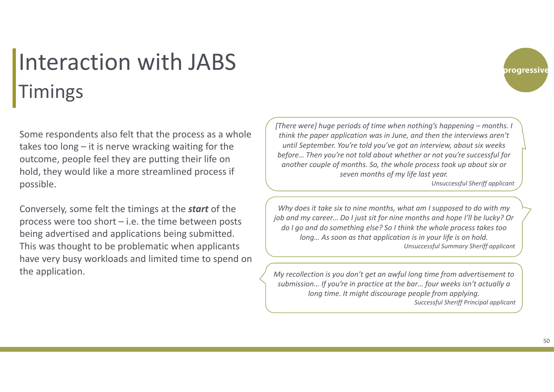#### Interaction with JABSTimings

Some respondents also felt that the process as a whole takes too long – it is nerve wracking waiting for the outcome, people feel they are putting their life on hold, they would like a more streamlined process if possible.

Conversely, some felt the timings at the *start* of the process were too short – i.e. the time between posts being advertised and applications being submitted. This was thought to be problematic when applicants have very busy workloads and limited time to spend on the application.

*[There were] huge periods of time when nothing's happening – months. I think the paper application was in June, and then the interviews aren't until September. You're told you've got an interview, about six weeks before… Then you're not told about whether or not you're successful for another couple of months. So, the whole process took up about six or seven months of my life last year.* 

*Unsuccessful Sheriff applicant*

progressive

*Why does it take six to nine months, what am I supposed to do with my job and my career… Do I just sit for nine months and hope I'll be lucky? Or do I go and do something else? So I think the whole process takes too long… As soon as that application is in your life is on hold. Unsuccessful Summary Sheriff applicant*

*My recollection is you don't get an awful long time from advertisement to submission… If you're in practice at the bar… four weeks isn't actually a long time. It might discourage people from applying. Successful Sheriff Principal applicant*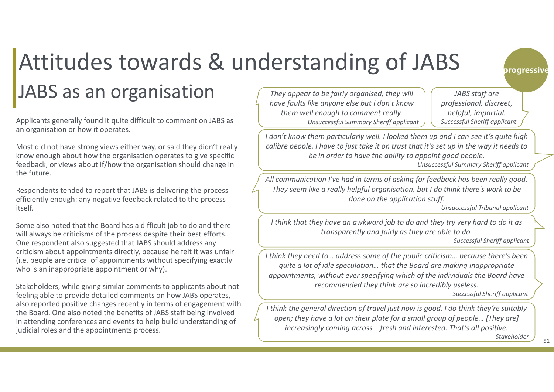# Attitudes towards & understanding of JABS

#### JABS as an organisation

Applicants generally found it quite difficult to comment on JABS as an organisation or how it operates.

Most did not have strong views either way, or said they didn't really know enough about how the organisation operates to give specific feedback, or views about if/how the organisation should change in the future.

Respondents tended to report that JABS is delivering the process efficiently enough: any negative feedback related to the process itself.

Some also noted that the Board has a difficult job to do and there will always be criticisms of the process despite their best efforts. One respondent also suggested that JABS should address any criticism about appointments directly, because he felt it was unfair (i.e. people are critical of appointments without specifying exactly who is an inappropriate appointment or why).

Stakeholders, while giving similar comments to applicants about not feeling able to provide detailed comments on how JABS operates, also reported positive changes recently in terms of engagement with the Board. One also noted the benefits of JABS staff being involved in attending conferences and events to help build understanding of judicial roles and the appointments process.

*They appear to be fairly organised, they will have faults like anyone else but I don't know them well enough to comment really. Unsuccessful Summary Sheriff applicant*

*JABS staff are professional, discreet, helpful, impartial. Successful Sheriff applicant*

progressive

*I don't know them particularly well. I looked them up and I can see it's quite high calibre people. I have to just take it on trust that it's set up in the way it needs to be in order to have the ability to appoint good people.*

*Unsuccessful Summary Sheriff applicant*

*All communication I've had in terms of asking for feedback has been really good. They seem like a really helpful organisation, but I do think there's work to be done on the application stuff.* 

*Unsuccessful Tribunal applicant*

*I think that they have an awkward job to do and they try very hard to do it as transparently and fairly as they are able to do.* 

*Successful Sheriff applicant*

*I think they need to… address some of the public criticism… because there's been quite a lot of idle speculation… that the Board are making inappropriate appointments, without ever specifying which of the individuals the Board have recommended they think are so incredibly useless.*

*Successful Sheriff applicant*

*I think the general direction of travel just now is good. I do think they're suitably open; they have a lot on their plate for a small group of people… [They are] increasingly coming across – fresh and interested. That's all positive.*

*Stakeholder*

51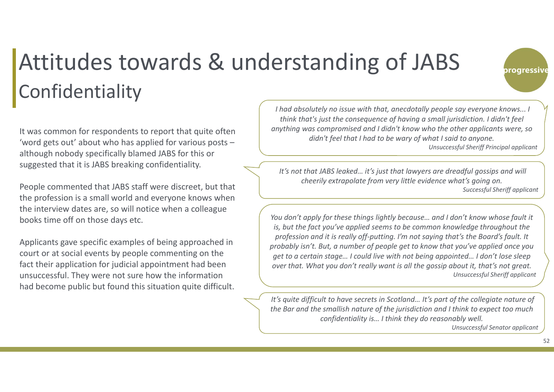#### progressive

#### Attitudes towards & understanding of JABS Confidentiality

It was common for respondents to report that quite often 'word gets out' about who has applied for various posts – although nobody specifically blamed JABS for this or suggested that it is JABS breaking confidentiality.

People commented that JABS staff were discreet, but that the profession is a small world and everyone knows when the interview dates are, so will notice when a colleague books time off on those days etc.

Applicants gave specific examples of being approached in court or at social events by people commenting on the fact their application for judicial appointment had been unsuccessful. They were not sure how the information had become public but found this situation quite difficult.

*I had absolutely no issue with that, anecdotally people say everyone knows... I think that's just the consequence of having a small jurisdiction. I didn't feel anything was compromised and I didn't know who the other applicants were, so didn't feel that I had to be wary of what I said to anyone. Unsuccessful Sheriff Principal applicant*

*It's not that JABS leaked… it's just that lawyers are dreadful gossips and will cheerily extrapolate from very little evidence what's going on. Successful Sheriff applicant*

You don't apply for these things lightly because... and I don't know whose fault it *is, but the fact you've applied seems to be common knowledge throughout the profession and it is really off-putting. I'm not saying that's the Board's fault. It probably isn't. But, a number of people get to know that you've applied once you get to a certain stage… I could live with not being appointed… I don't lose sleep over that. What you don't really want is all the gossip about it, that's not great. Unsuccessful Sheriff applicant*

*It's quite difficult to have secrets in Scotland… It's part of the collegiate nature of the Bar and the smallish nature of the jurisdiction and I think to expect too much confidentiality is… I think they do reasonably well.*

*Unsuccessful Senator applicant*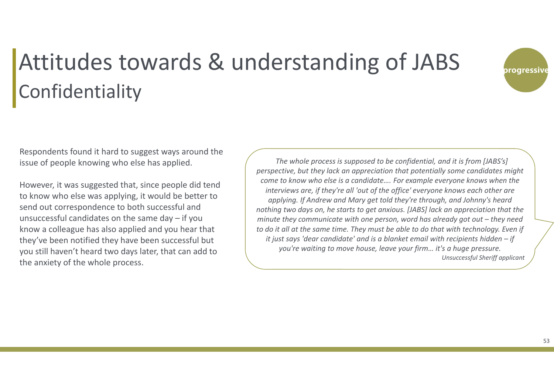

### Attitudes towards & understanding of JABS Confidentiality

Respondents found it hard to suggest ways around the issue of people knowing who else has applied.

However, it was suggested that, since people did tend to know who else was applying, it would be better to send out correspondence to both successful and unsuccessful candidates on the same day – if you know a colleague has also applied and you hear that they've been notified they have been successful but you still haven't heard two days later, that can add to the anxiety of the whole process.

*The whole process is supposed to be confidential, and it is from [JABS's] perspective, but they lack an appreciation that potentially some candidates might come to know who else is a candidate…. For example everyone knows when the interviews are, if they're all 'out of the office' everyone knows each other are applying. If Andrew and Mary get told they're through, and Johnny's heard nothing two days on, he starts to get anxious. [JABS] lack an appreciation that the minute they communicate with one person, word has already got out – they need to do it all at the same time. They must be able to do that with technology. Even if it just says 'dear candidate' and is a blanket email with recipients hidden – if you're waiting to move house, leave your firm… it's a huge pressure. Unsuccessful Sheriff applicant*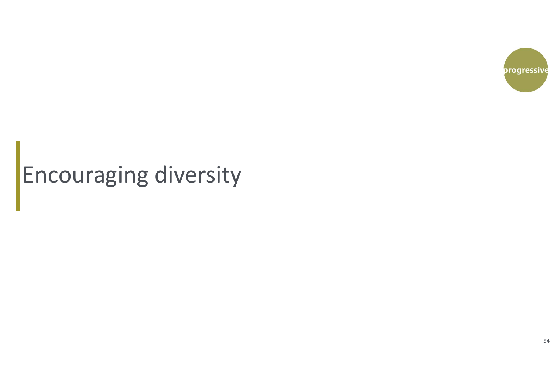

# Encouraging diversity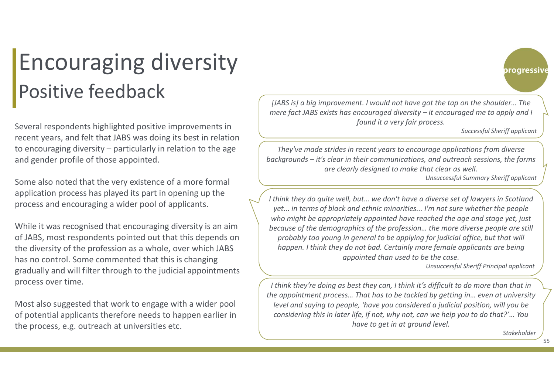#### Encouraging diversity Positive feedback

Several respondents highlighted positive improvements in recent years, and felt that JABS was doing its best in relation to encouraging diversity – particularly in relation to the age and gender profile of those appointed.

Some also noted that the very existence of a more formal application process has played its part in opening up the process and encouraging a wider pool of applicants.

While it was recognised that encouraging diversity is an aim of JABS, most respondents pointed out that this depends on the diversity of the profession as a whole, over which JABS has no control. Some commented that this is changing gradually and will filter through to the judicial appointments process over time.

Most also suggested that work to engage with a wider pool of potential applicants therefore needs to happen earlier in the process, e.g. outreach at universities etc.

*[JABS is] a big improvement. I would not have got the tap on the shoulder… The mere fact JABS exists has encouraged diversity – it encouraged me to apply and I found it a very fair process.* 

*Successful Sheriff applicant*

progressive

*They've made strides in recent years to encourage applications from diverse backgrounds – it's clear in their communications, and outreach sessions, the forms are clearly designed to make that clear as well.* 

*Unsuccessful Summary Sheriff applicant*

*I think they do quite well, but… we don't have a diverse set of lawyers in Scotland yet... in terms of black and ethnic minorities... I'm not sure whether the people who might be appropriately appointed have reached the age and stage yet, just because of the demographics of the profession… the more diverse people are still probably too young in general to be applying for judicial office, but that will happen. I think they do not bad. Certainly more female applicants are being appointed than used to be the case.* 

*Unsuccessful Sheriff Principal applicant*

*I think they're doing as best they can, I think it's difficult to do more than that in the appointment process… That has to be tackled by getting in… even at university level and saying to people, 'have you considered a judicial position, will you be considering this in later life, if not, why not, can we help you to do that?'… You have to get in at ground level.* 

*Stakeholder*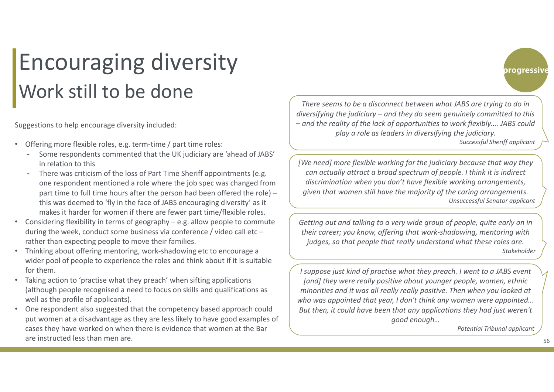#### Encouraging diversity Work still to be done

Suggestions to help encourage diversity included:

- •Offering more flexible roles, e.g. term-time / part time roles:
	- Some respondents commented that the UK judiciary are 'ahead of JABS' in relation to this
	- - There was criticism of the loss of Part Time Sheriff appointments (e.g. one respondent mentioned a role where the job spec was changed from part time to full time hours after the person had been offered the role) – this was deemed to 'fly in the face of JABS encouraging diversity' as it makes it harder for women if there are fewer part time/flexible roles.
- • Considering flexibility in terms of geography – e.g. allow people to commute during the week, conduct some business via conference / video call etc – rather than expecting people to move their families.
- • Thinking about offering mentoring, work‐shadowing etc to encourage a wider pool of people to experience the roles and think about if it is suitable for them.
- • Taking action to 'practise what they preach' when sifting applications (although people recognised a need to focus on skills and qualifications as well as the profile of applicants).
- • One respondent also suggested that the competency based approach could put women at a disadvantage as they are less likely to have good examples of cases they have worked on when there is evidence that women at the Bar are instructed less than men are.

*There seems to be a disconnect between what JABS are trying to do in diversifying the judiciary – and they do seem genuinely committed to this – and the reality of the lack of opportunities to work flexibly…. JABS could play a role as leaders in diversifying the judiciary.* 

*Successful Sheriff applicant*

progressive

*[We need] more flexible working for the judiciary because that way they can actually attract a broad spectrum of people. I think it is indirect discrimination when you don't have flexible working arrangements, given that women still have the majority of the caring arrangements. Unsuccessful Senator applicant*

*Getting out and talking to a very wide group of people, quite early on in their career; you know, offering that work-shadowing, mentoring with judges, so that people that really understand what these roles are. Stakeholder*

*I suppose just kind of practise what they preach. I went to a JABS event [and] they were really positive about younger people, women, ethnic minorities and it was all really really positive. Then when you looked at who was appointed that year, I don't think any women were appointed... But then, it could have been that any applications they had just weren't good enough…* 

*Potential Tribunal applicant*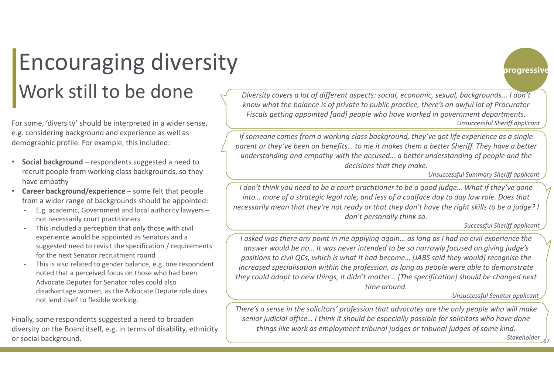#### Encouraging diversity Work still to be done

For some, 'diversity' should be interpreted in a wider sense, e.g. considering background and experience as well as demographic profile. For example, this included:

- • **Social background** – respondents suggested a need to recruit people from working class backgrounds, so they have empathy
- •**Career background/experience** – some felt that people from a wider range of backgrounds should be appointed:
	- E.g. academic, Government and local authority lawyers not necessarily court practitioners
	- - This included a perception that only those with civil experience would be appointed as Senators and a suggested need to revisit the specification / requirements for the next Senator recruitment round
	- This is also related to gender balance, e.g. one respondent noted that a perceived focus on those who had been Advocate Deputes for Senator roles could also disadvantage women, as the Advocate Depute role does not lend itself to flexible working.

Finally, some respondents suggested a need to broaden diversity on the Board itself, e.g. in terms of disability, ethnicity or social background.

 *Diversity covers a lot of different aspects: social, economic, sexual, backgrounds... I don't know what the balance is of private to public practice, there's an awful lot of Procurator Fiscals getting appointed [and] people who have worked in government departments. Unsuccessful Sheriff applicant*

*If someone comes from a working class background, they've got life experience as a single parent or they've been on benefits… to me it makes them a better Sheriff. They have a better understanding and empathy with the accused… a better understanding of people and the decisions that they make.* 

*Unsuccessful Summary Sheriff applicant*

*I don't think you need to be a court practitioner to be a good judge… What if they've gone into… more of a strategic legal role, and less of a coalface day to day law role. Does that necessarily mean that they're not ready or that they don't have the right skills to be a judge? I don't personally think so.* 

*Successful Sheriff applicant*

*I asked was there any point in me applying again… as long as I had no civil experience the answer would be no… It was never intended to be so narrowly focused on giving judge's positions to civil QCs, which is what it had become… [JABS said they would] recognise the increased specialisation within the profession, as long as people were able to demonstrate they could adapt to new things, it didn't matter… [The specification] should be changed next time around.* 

*Unsuccessful Senator applicant*

*There's a sense in the solicitors' profession that advocates are the only people who will make senior judicial office… I think it should be especially possible for solicitors who have done things like work as employment tribunal judges or tribunal judges of some kind.* 

> 57*Stakeholder*

progressive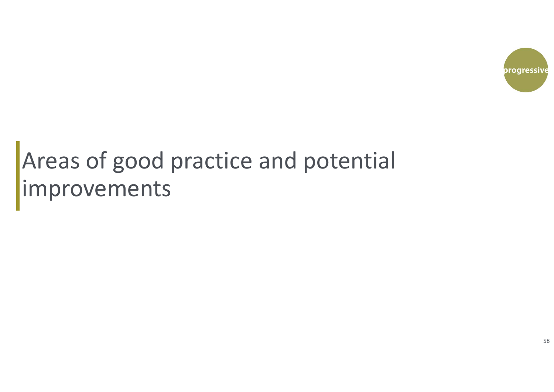

#### Areas of good practice and potential improvements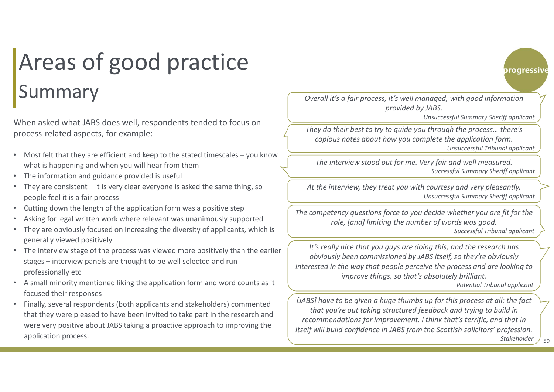### Areas of good practice Summary

When asked what JABS does well, respondents tended to focus on process‐related aspects, for example:

- Most felt that they are efficient and keep to the stated timescales you know what is happening and when you will hear from them
- •The information and guidance provided is useful
- • They are consistent – it is very clear everyone is asked the same thing, so people feel it is a fair process
- •Cutting down the length of the application form was a positive step
- •Asking for legal written work where relevant was unanimously supported
- • They are obviously focused on increasing the diversity of applicants, which is generally viewed positively
- • The interview stage of the process was viewed more positively than the earlier stages – interview panels are thought to be well selected and run professionally etc
- • A small minority mentioned liking the application form and word counts as it focused their responses
- • Finally, several respondents (both applicants and stakeholders) commented that they were pleased to have been invited to take part in the research and were very positive about JABS taking a proactive approach to improving the application process.

*Overall it's a fair process, it's well managed, with good information provided by JABS.*

*Unsuccessful Summary Sheriff applicant*

progressive

*They do their best to try to guide you through the process… there's copious notes about how you complete the application form. Unsuccessful Tribunal applicant*

*The interview stood out for me. Very fair and well measured. Successful Summary Sheriff applicant*

*At the interview, they treat you with courtesy and very pleasantly. Unsuccessful Summary Sheriff applicant*

*The competency questions force to you decide whether you are fit for the role, [and] limiting the number of words was good. Successful Tribunal applicant*

*It's really nice that you guys are doing this, and the research has obviously been commissioned by JABS itself, so they're obviously interested in the way that people perceive the process and are looking to improve things, so that's absolutely brilliant.* 

*Potential Tribunal applicant*

*[JABS] have to be given a huge thumbs up for this process at all: the fact that you're out taking structured feedback and trying to build in recommendations for improvement. I think that's terrific, and that in itself will build confidence in JABS from the Scottish solicitors' profession. Stakeholder*

59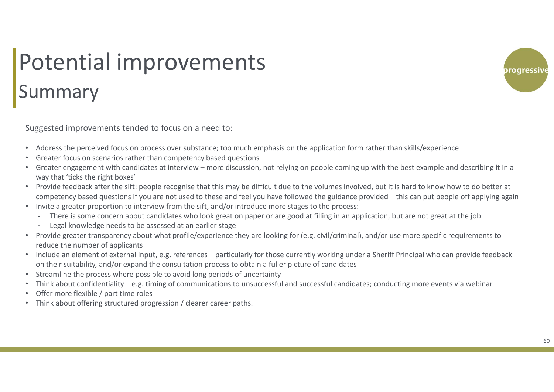# Potential improvements Summary

Suggested improvements tended to focus on a need to:

- •Address the perceived focus on process over substance; too much emphasis on the application form rather than skills/experience
- •Greater focus on scenarios rather than competency based questions
- • Greater engagement with candidates at interview – more discussion, not relying on people coming up with the best example and describing it in a way that 'ticks the right boxes'
- • Provide feedback after the sift: people recognise that this may be difficult due to the volumes involved, but it is hard to know how to do better at competency based questions if you are not used to these and feel you have followed the guidance provided – this can put people off applying again
- • Invite a greater proportion to interview from the sift, and/or introduce more stages to the process:
	- There is some concern about candidates who look great on paper or are good at filling in an application, but are not great at the job
	- Legal knowledge needs to be assessed at an earlier stage
- • Provide greater transparency about what profile/experience they are looking for (e.g. civil/criminal), and/or use more specific requirements to reduce the number of applicants
- • Include an element of external input, e.g. references – particularly for those currently working under a Sheriff Principal who can provide feedback on their suitability, and/or expand the consultation process to obtain a fuller picture of candidates
- •Streamline the process where possible to avoid long periods of uncertainty
- •Think about confidentiality – e.g. timing of communications to unsuccessful and successful candidates; conducting more events via webinar
- •Offer more flexible / part time roles
- $\bullet$ Think about offering structured progression / clearer career paths.

progressiv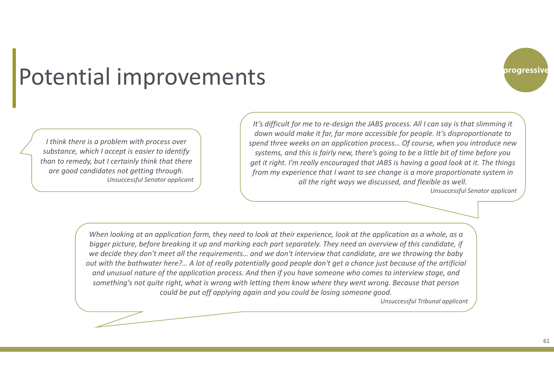#### Potential improvements

*I think there is a problem with process over substance, which I accept is easier to identify than to remedy, but I certainly think that there are good candidates not getting through. Unsuccessful Senator applicant*

*It's difficult for me to re-design the JABS process. All I can say is that slimming it down would make it far, far more accessible for people. It's disproportionate to spend three weeks on an application process… Of course, when you introduce new systems, and this is fairly new, there's going to be a little bit of time before you get it right. I'm really encouraged that JABS is having a good look at it. The things from my experience that I want to see change is a more proportionate system in all the right ways we discussed, and flexible as well.* 

*Unsuccessful Senator applicant*

*When looking at an application form, they need to look at their experience, look at the application as a whole, as a bigger picture, before breaking it up and marking each part separately. They need an overview of this candidate, if we decide they don't meet all the requirements… and we don't interview that candidate, are we throwing the baby out with the bathwater here?… A lot of really potentially good people don't get a chance just because of the artificial and unusual nature of the application process. And then if you have someone who comes to interview stage, and something's not quite right, what is wrong with letting them know where they went wrong. Because that person could be put off applying again and you could be losing someone good.* 

*Unsuccessful Tribunal applicant*

progressive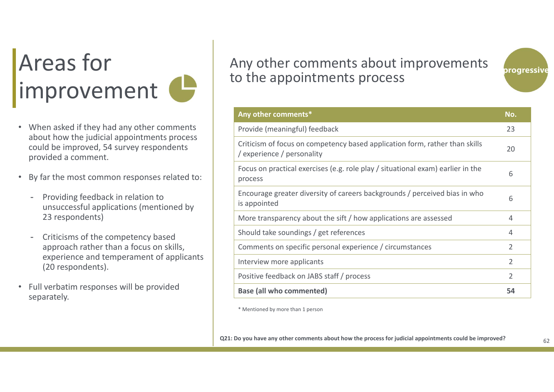# Areas for limprovement

- When asked if they had any other comments about how the judicial appointments process could be improved, 54 survey respondents provided a comment.
- • By far the most common responses related to:
	- Providing feedback in relation to unsuccessful applications (mentioned by 23 respondents)
	- Criticisms of the competency based approach rather than a focus on skills, experience and temperament of applicants (20 respondents).
- Full verbatim responses will be provided separately.

#### Any other comments about improvements to the appointments process



| Any other comments*                                                                                       | No.            |
|-----------------------------------------------------------------------------------------------------------|----------------|
| Provide (meaningful) feedback                                                                             | 23             |
| Criticism of focus on competency based application form, rather than skills<br>/ experience / personality | 20             |
| Focus on practical exercises (e.g. role play / situational exam) earlier in the<br>process                | 6              |
| Encourage greater diversity of careers backgrounds / perceived bias in who<br>is appointed                | 6              |
| More transparency about the sift / how applications are assessed                                          | 4              |
| Should take soundings / get references                                                                    | 4              |
| Comments on specific personal experience / circumstances                                                  | 2              |
| Interview more applicants                                                                                 | $\overline{2}$ |
| Positive feedback on JABS staff / process                                                                 | $\overline{2}$ |
| <b>Base (all who commented)</b>                                                                           | 54             |

\* Mentioned by more than 1 person

**Q21: Do you have any other comments about how the process for judicial appointments could be improved?**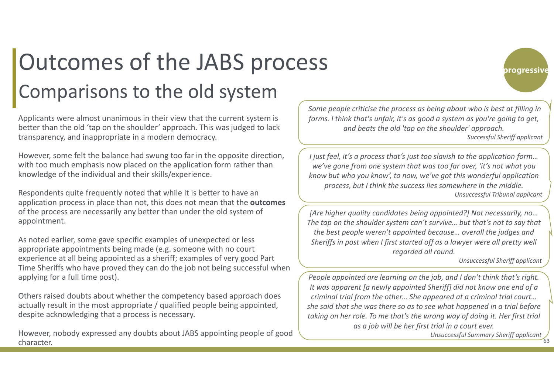## Outcomes of the JABS process Comparisons to the old system

Applicants were almost unanimous in their view that the current system is better than the old 'tap on the shoulder' approach. This was judged to lack transparency, and inappropriate in a modern democracy.

However, some felt the balance had swung too far in the opposite direction, with too much emphasis now placed on the application form rather than knowledge of the individual and their skills/experience.

Respondents quite frequently noted that while it is better to have an application process in place than not, this does not mean that the **outcomes** of the process are necessarily any better than under the old system of appointment.

As noted earlier, some gave specific examples of unexpected or less appropriate appointments being made (e.g. someone with no court experience at all being appointed as a sheriff; examples of very good Part Time Sheriffs who have proved they can do the job not being successful when applying for a full time post).

Others raised doubts about whether the competency based approach does actually result in the most appropriate / qualified people being appointed, despite acknowledging that a process is necessary.

However, nobody expressed any doubts about JABS appointing people of good character.

*Some people criticise the process as being about who is best at filling in forms. I think that's unfair, it's as good a system as you're going to get, and beats the old 'tap on the shoulder' approach. Successful Sheriff applicant*

*I just feel, it's a process that's just too slavish to the application form… we've gone from one system that was too far over, 'it's not what you know but who you know', to now, we've got this wonderful application process, but I think the success lies somewhere in the middle. Unsuccessful Tribunal applicant*

*[Are higher quality candidates being appointed?] Not necessarily, no… The tap on the shoulder system can't survive… but that's not to say that the best people weren't appointed because… overall the judges and Sheriffs in post when I first started off as a lawyer were all pretty well regarded all round.*

*Unsuccessful Sheriff applicant*

progressive

*People appointed are learning on the job, and I don't think that's right. It was apparent [a newly appointed Sheriff] did not know one end of a criminal trial from the other... She appeared at a criminal trial court… she said that she was there so as to see what happened in a trial before taking on her role. To me that's the wrong way of doing it. Her first trial as a job will be her first trial in a court ever.* 

63*Unsuccessful Summary Sheriff applicant*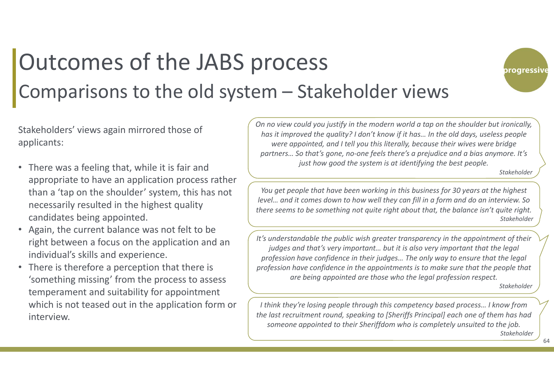#### Outcomes of the JABS process Comparisons to the old system – Stakeholder views



- There was a feeling that, while it is fair and appropriate to have an application process rather than a 'tap on the shoulder' system, this has not necessarily resulted in the highest quality candidates being appointed.
- Again, the current balance was not felt to be right between a focus on the application and an individual's skills and experience.
- There is therefore a perception that there is 'something missing' from the process to assess temperament and suitability for appointment which is not teased out in the application form or interview.

*On no view could you justify in the modern world a tap on the shoulder but ironically, has it improved the quality? I don't know if it has… In the old days, useless people were appointed, and I tell you this literally, because their wives were bridge partners… So that's gone, no-one feels there's a prejudice and a bias anymore. It's just how good the system is at identifying the best people.*

*Stakeholder*

progressive

*You get people that have been working in this business for 30 years at the highest level… and it comes down to how well they can fill in a form and do an interview. So there seems to be something not quite right about that, the balance isn't quite right. Stakeholder*

*It's understandable the public wish greater transparency in the appointment of their judges and that's very important… but it is also very important that the legal profession have confidence in their judges… The only way to ensure that the legal profession have confidence in the appointments is to make sure that the people that are being appointed are those who the legal profession respect.*

*Stakeholder*

*I think they're losing people through this competency based process… I know from the last recruitment round, speaking to [Sheriffs Principal] each one of them has had someone appointed to their Sheriffdom who is completely unsuited to the job. Stakeholder*

64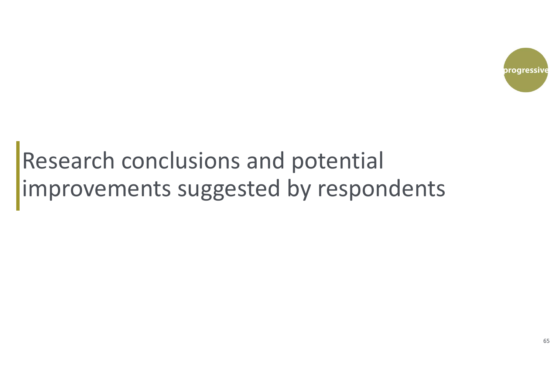

### Research conclusions and potential improvements suggested by respondents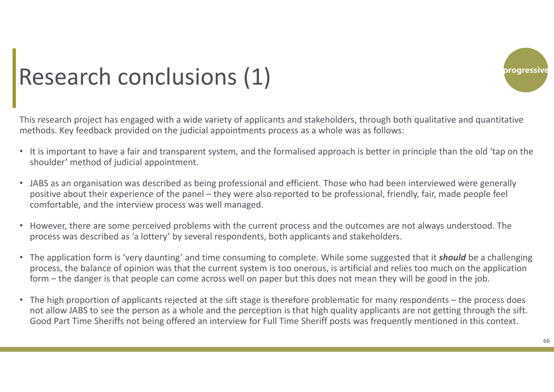

# Research conclusions (1)

This research project has engaged with a wide variety of applicants and stakeholders, through both qualitative and quantitative methods. Key feedback provided on the judicial appointments process as a whole was as follows:

- It is important to have a fair and transparent system, and the formalised approach is better in principle than the old 'tap on the shoulder' method of judicial appointment.
- JABS as an organisation was described as being professional and efficient. Those who had been interviewed were generally positive about their experience of the panel – they were also reported to be professional, friendly, fair, made people feel comfortable, and the interview process was well managed.
- • However, there are some perceived problems with the current process and the outcomes are not always understood. The process was described as 'a lottery' by several respondents, both applicants and stakeholders.
- The application form is 'very daunting' and time consuming to complete. While some suggested that it *should* be a challenging process, the balance of opinion was that the current system is too onerous, is artificial and relies too much on the application form – the danger is that people can come across well on paper but this does not mean they will be good in the job.
- The high proportion of applicants rejected at the sift stage is therefore problematic for many respondents the process does not allow JABS to see the person as a whole and the perception is that high quality applicants are not getting through the sift. Good Part Time Sheriffs not being offered an interview for Full Time Sheriff posts was frequently mentioned in this context.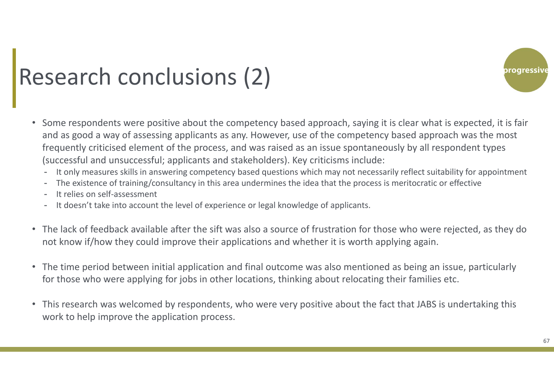

### Research conclusions (2)

- Some respondents were positive about the competency based approach, saying it is clear what is expected, it is fair and as good a way of assessing applicants as any. However, use of the competency based approach was the most frequently criticised element of the process, and was raised as an issue spontaneously by all respondent types (successful and unsuccessful; applicants and stakeholders). Key criticisms include:
	- It only measures skills in answering competency based questions which may not necessarily reflect suitability for appointment
	- The existence of training/consultancy in this area undermines the idea that the process is meritocratic or effective
	- It relies on self‐assessment
	- It doesn't take into account the level of experience or legal knowledge of applicants.
- The lack of feedback available after the sift was also a source of frustration for those who were rejected, as they do not know if/how they could improve their applications and whether it is worth applying again.
- $\bullet$  The time period between initial application and final outcome was also mentioned as being an issue, particularly for those who were applying for jobs in other locations, thinking about relocating their families etc.
- This research was welcomed by respondents, who were very positive about the fact that JABS is undertaking this work to help improve the application process.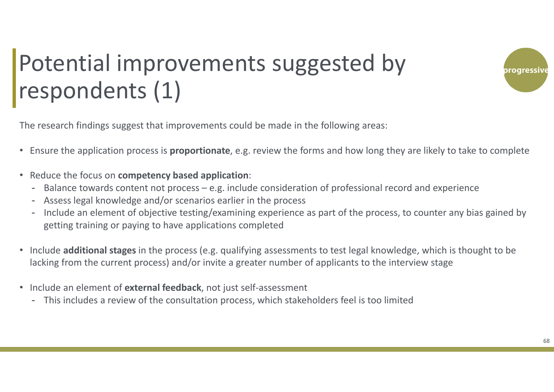

### Potential improvements suggested by respondents (1)

The research findings suggest that improvements could be made in the following areas:

- Ensure the application process is **proportionate**, e.g. review the forms and how long they are likely to take to complete
- Reduce the focus on **competency based application**:
	- -Balance towards content not process – e.g. include consideration of professional record and experience
	- Assess legal knowledge and/or scenarios earlier in the process
	- Include an element of objective testing/examining experience as part of the process, to counter any bias gained by getting training or paying to have applications completed
- Include **additional stages** in the process (e.g. qualifying assessments to test legal knowledge, which is thought to be lacking from the current process) and/or invite a greater number of applicants to the interview stage
- Include an element of **external feedback**, not just self‐assessment
	- This includes a review of the consultation process, which stakeholders feel is too limited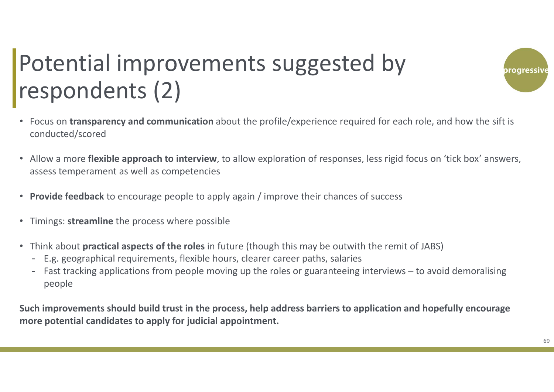# Potential improvements suggested by respondents (2)

- Focus on **transparency and communication** about the profile/experience required for each role, and how the sift is conducted/scored
- Allow a more **flexible approach to interview**, to allow exploration of responses, less rigid focus on 'tick box' answers, assess temperament as well as competencies
- **Provide feedback** to encourage people to apply again / improve their chances of success
- $\bullet$ Timings: **streamline** the process where possible
- Think about **practical aspects of the roles** in future (though this may be outwith the remit of JABS)
	- E.g. geographical requirements, flexible hours, clearer career paths, salaries
	- Fast tracking applications from people moving up the roles or guaranteeing interviews to avoid demoralising people

**Such improvements should build trust in the process, help address barriers to application and hopefully encourage more potential candidates to apply for judicial appointment.**

oroaressiv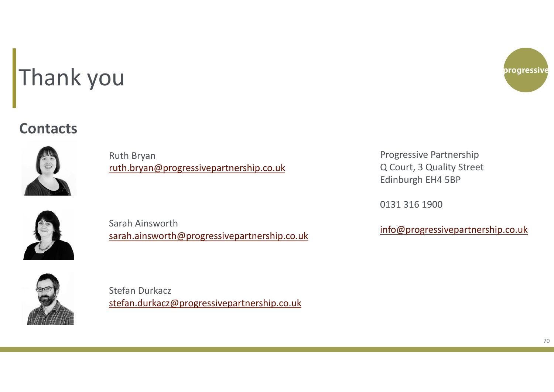# Thank you

#### **Contacts**



Ruth Bryan ruth.bryan@progressivepartnership.co.uk



Sarah Ainsworth<br>
sarah.ainsworth@progressivepartnership.co.uk info@progressivepartnership.co.uk<br>
sarah.ainsworth@progressivepartnership.co.uk



Stefan Durkaczstefan.durkacz@progressivepartnership.co.uk



Progressive Partnership Q Court, 3 Quality Street Edinburgh EH4 5BP

0131 316 1900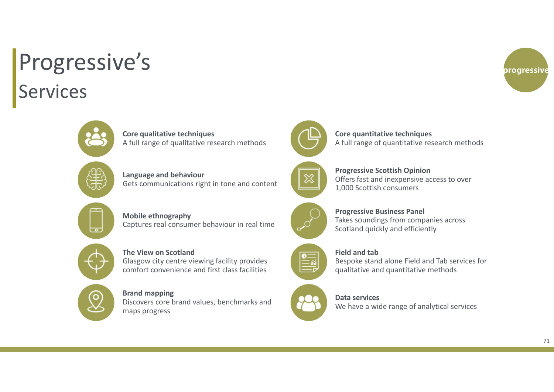### Services Progressive's





**Core qualitative techniques**  A full range of qualitative research methods

**Language and behaviour** Gets communications right in tone and content

**Mobile ethnography** Captures real consumer behaviour in real time

#### **The View on Scotland**Glasgow city centre viewing facility provides

comfort convenience and first class facilities

#### **Brand mapping**

Discovers core brand values, benchmarks and maps progress





A full range of quantitative research methods

**Core quantitative techniques**

#### **Progressive Scottish Opinion** Offers fast and inexpensive access to over 1,000 Scottish consumers



**Progressive Business Panel** Takes soundings from companies across Scotland quickly and efficiently



#### **Field and tab**

Bespoke stand alone Field and Tab services for qualitative and quantitative methods

**Data services**We have a wide range of analytical services

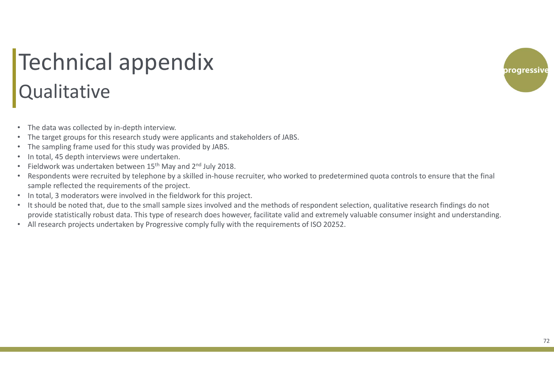#### Qualitative Technical appendix

- $\bullet$ The data was collected by in-depth interview.
- •The target groups for this research study were applicants and stakeholders of JABS.
- •The sampling frame used for this study was provided by JABS.
- •In total, 45 depth interviews were undertaken.
- •Fieldwork was undertaken between 15<sup>th</sup> May and 2<sup>nd</sup> July 2018.
- • Respondents were recruited by telephone by a skilled in‐house recruiter, who worked to predetermined quota controls to ensure that the final sample reflected the requirements of the project.
- In total, 3 moderators were involved in the fieldwork for this project.
- It should be noted that, due to the small sample sizes involved and the methods of respondent selection, qualitative research findings do not provide statistically robust data. This type of research does however, facilitate valid and extremely valuable consumer insight and understanding.
- All research projects undertaken by Progressive comply fully with the requirements of ISO 20252.

progressiv